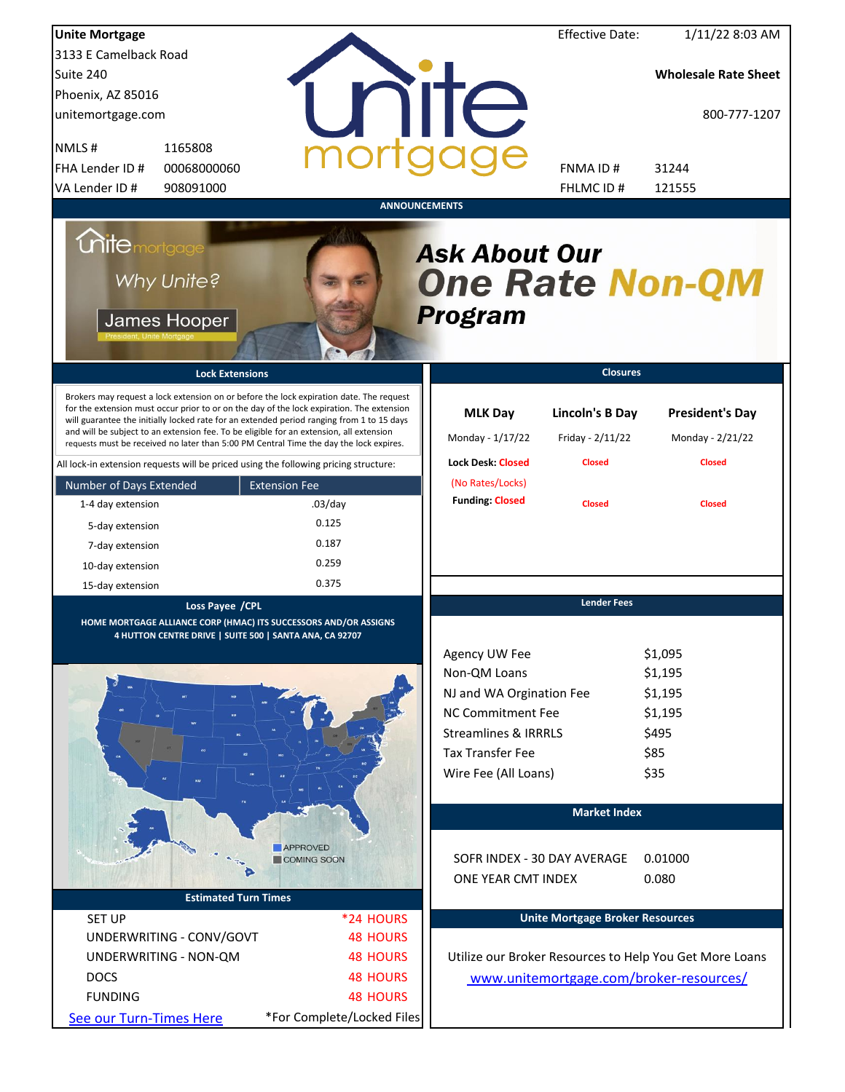| <b>Unite Mortgage</b>                                                                                                                                                                                                                                                                                                                                                                                                                                                                                                                                          |                            |                                                                | <b>Effective Date:</b>                               | 1/11/22 8:03 AM                                             |  |
|----------------------------------------------------------------------------------------------------------------------------------------------------------------------------------------------------------------------------------------------------------------------------------------------------------------------------------------------------------------------------------------------------------------------------------------------------------------------------------------------------------------------------------------------------------------|----------------------------|----------------------------------------------------------------|------------------------------------------------------|-------------------------------------------------------------|--|
| 3133 E Camelback Road                                                                                                                                                                                                                                                                                                                                                                                                                                                                                                                                          |                            |                                                                |                                                      |                                                             |  |
| Suite 240                                                                                                                                                                                                                                                                                                                                                                                                                                                                                                                                                      |                            |                                                                |                                                      | <b>Wholesale Rate Sheet</b>                                 |  |
| Phoenix, AZ 85016                                                                                                                                                                                                                                                                                                                                                                                                                                                                                                                                              |                            |                                                                |                                                      |                                                             |  |
| unitemortgage.com                                                                                                                                                                                                                                                                                                                                                                                                                                                                                                                                              |                            | <b>THE</b>                                                     |                                                      | 800-777-1207                                                |  |
| NMLS#<br>1165808                                                                                                                                                                                                                                                                                                                                                                                                                                                                                                                                               |                            |                                                                |                                                      |                                                             |  |
| FHA Lender ID #<br>00068000060                                                                                                                                                                                                                                                                                                                                                                                                                                                                                                                                 |                            |                                                                | FNMA ID#                                             | 31244                                                       |  |
| VA Lender ID #<br>908091000                                                                                                                                                                                                                                                                                                                                                                                                                                                                                                                                    |                            |                                                                | FHLMC ID #                                           | 121555                                                      |  |
|                                                                                                                                                                                                                                                                                                                                                                                                                                                                                                                                                                |                            | <b>ANNOUNCEMENTS</b>                                           |                                                      |                                                             |  |
| <b>Chite</b> mortgage<br>Why Unite?<br>James Hooper                                                                                                                                                                                                                                                                                                                                                                                                                                                                                                            |                            | <b>Ask About Our</b><br><b>One Rate Non-QM</b><br>Program      |                                                      |                                                             |  |
| <b>Lock Extensions</b>                                                                                                                                                                                                                                                                                                                                                                                                                                                                                                                                         |                            |                                                                | <b>Closures</b>                                      |                                                             |  |
| Brokers may request a lock extension on or before the lock expiration date. The request<br>for the extension must occur prior to or on the day of the lock expiration. The extension<br>will guarantee the initially locked rate for an extended period ranging from 1 to 15 days<br>and will be subject to an extension fee. To be eligible for an extension, all extension<br>requests must be received no later than 5:00 PM Central Time the day the lock expires.<br>All lock-in extension requests will be priced using the following pricing structure: |                            | <b>MLK Day</b><br>Monday - 1/17/22<br><b>Lock Desk: Closed</b> | Lincoln's B Day<br>Friday - 2/11/22<br><b>Closed</b> | <b>President's Day</b><br>Monday - 2/21/22<br><b>Closed</b> |  |
| Number of Days Extended                                                                                                                                                                                                                                                                                                                                                                                                                                                                                                                                        | <b>Extension Fee</b>       | (No Rates/Locks)                                               |                                                      |                                                             |  |
| 1-4 day extension                                                                                                                                                                                                                                                                                                                                                                                                                                                                                                                                              | $.03$ /day                 | <b>Funding: Closed</b>                                         | <b>Closed</b>                                        | <b>Closed</b>                                               |  |
| 5-day extension                                                                                                                                                                                                                                                                                                                                                                                                                                                                                                                                                | 0.125                      |                                                                |                                                      |                                                             |  |
|                                                                                                                                                                                                                                                                                                                                                                                                                                                                                                                                                                | 0.187                      |                                                                |                                                      |                                                             |  |
| 7-day extension                                                                                                                                                                                                                                                                                                                                                                                                                                                                                                                                                | 0.259                      |                                                                |                                                      |                                                             |  |
| 10-day extension                                                                                                                                                                                                                                                                                                                                                                                                                                                                                                                                               | 0.375                      |                                                                |                                                      |                                                             |  |
| 15-day extension                                                                                                                                                                                                                                                                                                                                                                                                                                                                                                                                               |                            |                                                                | <b>Lender Fees</b>                                   |                                                             |  |
| Loss Payee / CPL<br>HOME MORTGAGE ALLIANCE CORP (HMAC) ITS SUCCESSORS AND/OR ASSIGNS<br>4 HUTTON CENTRE DRIVE   SUITE 500   SANTA ANA, CA 92707                                                                                                                                                                                                                                                                                                                                                                                                                |                            | Agency UW Fee                                                  |                                                      | \$1,095                                                     |  |
|                                                                                                                                                                                                                                                                                                                                                                                                                                                                                                                                                                |                            | Non-QM Loans                                                   |                                                      | \$1,195                                                     |  |
|                                                                                                                                                                                                                                                                                                                                                                                                                                                                                                                                                                |                            | NJ and WA Orgination Fee                                       |                                                      | \$1,195                                                     |  |
|                                                                                                                                                                                                                                                                                                                                                                                                                                                                                                                                                                |                            | <b>NC Commitment Fee</b>                                       |                                                      | \$1,195                                                     |  |
|                                                                                                                                                                                                                                                                                                                                                                                                                                                                                                                                                                |                            | <b>Streamlines &amp; IRRRLS</b>                                |                                                      | \$495                                                       |  |
|                                                                                                                                                                                                                                                                                                                                                                                                                                                                                                                                                                |                            | <b>Tax Transfer Fee</b>                                        |                                                      | \$85                                                        |  |
|                                                                                                                                                                                                                                                                                                                                                                                                                                                                                                                                                                |                            | Wire Fee (All Loans)                                           |                                                      | \$35                                                        |  |
|                                                                                                                                                                                                                                                                                                                                                                                                                                                                                                                                                                |                            |                                                                |                                                      |                                                             |  |
|                                                                                                                                                                                                                                                                                                                                                                                                                                                                                                                                                                |                            |                                                                | <b>Market Index</b>                                  |                                                             |  |
|                                                                                                                                                                                                                                                                                                                                                                                                                                                                                                                                                                |                            |                                                                |                                                      |                                                             |  |
|                                                                                                                                                                                                                                                                                                                                                                                                                                                                                                                                                                | <b>APPROVED</b>            |                                                                |                                                      |                                                             |  |
|                                                                                                                                                                                                                                                                                                                                                                                                                                                                                                                                                                | COMING SOON                |                                                                | SOFR INDEX - 30 DAY AVERAGE                          | 0.01000                                                     |  |
|                                                                                                                                                                                                                                                                                                                                                                                                                                                                                                                                                                |                            | ONE YEAR CMT INDEX                                             |                                                      | 0.080                                                       |  |
| <b>Estimated Turn Times</b>                                                                                                                                                                                                                                                                                                                                                                                                                                                                                                                                    |                            |                                                                |                                                      |                                                             |  |
| <b>SET UP</b>                                                                                                                                                                                                                                                                                                                                                                                                                                                                                                                                                  | *24 HOURS                  |                                                                | <b>Unite Mortgage Broker Resources</b>               |                                                             |  |
| UNDERWRITING - CONV/GOVT                                                                                                                                                                                                                                                                                                                                                                                                                                                                                                                                       | <b>48 HOURS</b>            |                                                                |                                                      |                                                             |  |
| UNDERWRITING - NON-QM                                                                                                                                                                                                                                                                                                                                                                                                                                                                                                                                          | <b>48 HOURS</b>            |                                                                |                                                      | Utilize our Broker Resources to Help You Get More Loans     |  |
| <b>DOCS</b>                                                                                                                                                                                                                                                                                                                                                                                                                                                                                                                                                    | <b>48 HOURS</b>            |                                                                |                                                      | www.unitemortgage.com/broker-resources/                     |  |
| <b>FUNDING</b>                                                                                                                                                                                                                                                                                                                                                                                                                                                                                                                                                 | <b>48 HOURS</b>            |                                                                |                                                      |                                                             |  |
| See our Turn-Times Here                                                                                                                                                                                                                                                                                                                                                                                                                                                                                                                                        | *For Complete/Locked Files |                                                                |                                                      |                                                             |  |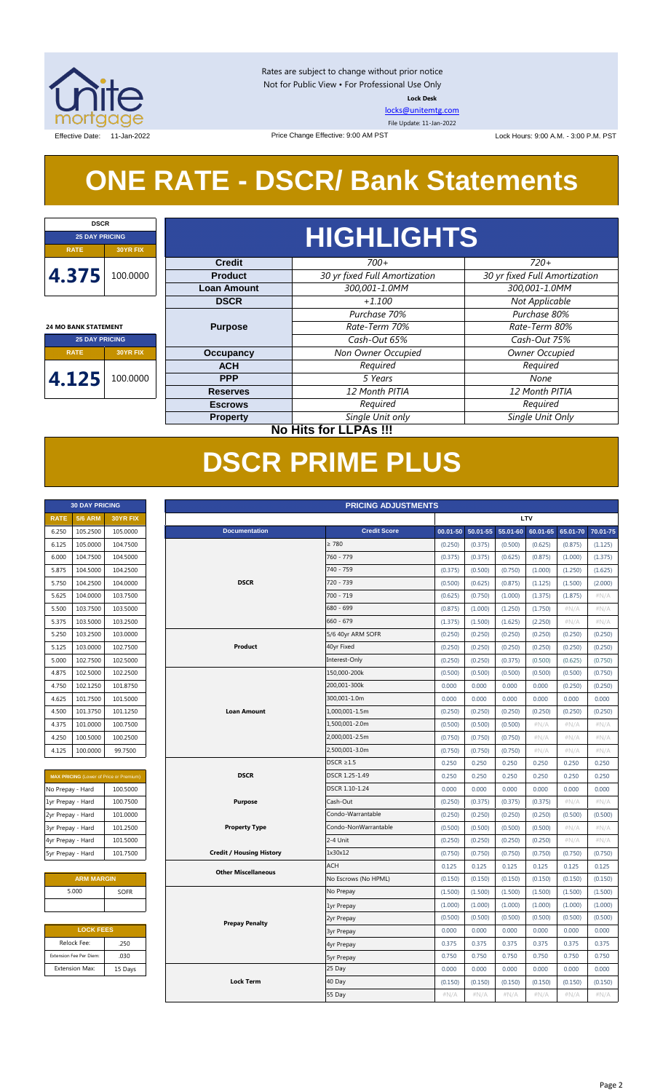

Rates are subject to change without prior notice Not for Public View • For Professional Use Only **Lock Desk**

[locks@unitemtg.com](mailto:locks@unitemtg.com)

File Update: 11-Jan-2022

Effective Date: 11-Jan-2022 **Lock Hours: 9:00 A.M. - 3:00 P.M. PST** Lock Hours: 9:00 A.M. - 3:00 P.M. PST

## **ONE RATE - DSCR/ Bank Statements**

Price Change Effective: 9:00 AM PST

| <b>DSCR</b>                    |  |  |  |  |
|--------------------------------|--|--|--|--|
| <b>25 DAY PRICING</b>          |  |  |  |  |
| <b>30YR FIX</b><br><b>RATE</b> |  |  |  |  |
| 4.375<br>100.0000              |  |  |  |  |
| <b>24 MO BANK STATEMENT</b>    |  |  |  |  |
| <b>25 DAY PRICING</b>          |  |  |  |  |
|                                |  |  |  |  |

## **RATE 30YR FIX 4.125** 100.0000

| <b>HIGHLIGHTS</b>  |                               |                               |  |  |
|--------------------|-------------------------------|-------------------------------|--|--|
| <b>Credit</b>      | $700+$                        | $720+$                        |  |  |
| <b>Product</b>     | 30 yr fixed Full Amortization | 30 yr fixed Full Amortization |  |  |
| <b>Loan Amount</b> | 300,001-1.0MM                 | 300,001-1.0MM                 |  |  |
| <b>DSCR</b>        | $+1.100$                      | Not Applicable                |  |  |
|                    | Purchase 70%                  | Purchase 80%                  |  |  |
| <b>Purpose</b>     | Rate-Term 70%                 | Rate-Term 80%                 |  |  |
|                    | Cash-Out 65%                  | Cash-Out 75%                  |  |  |
| <b>Occupancy</b>   | Non Owner Occupied            | Owner Occupied                |  |  |
| <b>ACH</b>         | Required                      | Required                      |  |  |
| <b>PPP</b>         | 5 Years                       | None                          |  |  |
| <b>Reserves</b>    | 12 Month PITIA                | 12 Month PITIA                |  |  |
| <b>Escrows</b>     | Required                      | Required                      |  |  |
| <b>Property</b>    | Single Unit only              | Single Unit Only              |  |  |

**30 DAY PRICING PRICING ADJUSTMENTS**

### **No Hits for LLPAs !!!**

## **DSCR PRIME PLUS**

| <b>30 DAY PRICING</b> |                |                 |  |
|-----------------------|----------------|-----------------|--|
| <b>RATE</b>           | <b>5/6 ARM</b> | <b>30YR FIX</b> |  |
| 6.250                 | 105.2500       | 105.0000        |  |
| 6.125                 | 105.0000       | 104.7500        |  |
| 6.000                 | 104.7500       | 104.5000        |  |
| 5.875                 | 104.5000       | 104.2500        |  |
| 5.750                 | 104.2500       | 104.0000        |  |
| 5.625                 | 104.0000       | 103.7500        |  |
| 5.500                 | 103.7500       | 103.5000        |  |
| 5.375                 | 103.5000       | 103.2500        |  |
| 5.250                 | 103.2500       | 103.0000        |  |
| 5.125                 | 103.0000       | 102.7500        |  |
| 5.000                 | 102.7500       | 102.5000        |  |
| 4.875                 | 102.5000       | 102.2500        |  |
| 4.750                 | 102.1250       | 101.8750        |  |
| 4.625                 | 101.7500       | 101.5000        |  |
| 4.500                 | 101.3750       | 101.1250        |  |
| 4.375                 | 101.0000       | 100.7500        |  |
| 4.250                 | 100.5000       | 100.2500        |  |
| 4.125                 | 100,0000       | 99.7500         |  |

| <b>MAX PRICING</b> (Lower of Price or Premium) |          |  |  |  |
|------------------------------------------------|----------|--|--|--|
| No Prepay - Hard                               | 100.5000 |  |  |  |
| 1yr Prepay - Hard                              | 100.7500 |  |  |  |
| 2yr Prepay - Hard                              | 101.0000 |  |  |  |
| 3yr Prepay - Hard                              | 101.2500 |  |  |  |
| 4yr Prepay - Hard                              | 101.5000 |  |  |  |
| 5yr Prepay - Hard                              | 101.7500 |  |  |  |

| <b>ARM MARGIN</b> |      |  |  |
|-------------------|------|--|--|
| 5.000             | SOFR |  |  |
|                   |      |  |  |

| <b>LOCK FEES</b> |  |  |  |
|------------------|--|--|--|
| .250             |  |  |  |
| .030             |  |  |  |
| 15 Days          |  |  |  |
|                  |  |  |  |

| <b>RATE</b>       | <b>5/6 ARM</b>          | 30YR FIX                                |                                 |                      |          |          |          | <b>LTV</b> |          |          |
|-------------------|-------------------------|-----------------------------------------|---------------------------------|----------------------|----------|----------|----------|------------|----------|----------|
| 6.250             | 105.2500                | 105.0000                                | <b>Documentation</b>            | <b>Credit Score</b>  | 00.01-50 | 50.01-55 | 55.01-60 | 60.01-65   | 65.01-70 | 70.01-75 |
| 6.125             | 105.0000                | 104.7500                                |                                 | $\geq 780$           | (0.250)  | (0.375)  | (0.500)  | (0.625)    | (0.875)  | (1.125)  |
| 6.000             | 104.7500                | 104.5000                                |                                 | 760 - 779            | (0.375)  | (0.375)  | (0.625)  | (0.875)    | (1.000)  | (1.375)  |
| 5.875             | 104.5000                | 104.2500                                |                                 | 740 - 759            | (0.375)  | (0.500)  | (0.750)  | (1.000)    | (1.250)  | (1.625)  |
| 5.750             | 104.2500                | 104.0000                                | <b>DSCR</b>                     | 720 - 739            | (0.500)  | (0.625)  | (0.875)  | (1.125)    | (1.500)  | (2.000)  |
| 5.625             | 104.0000                | 103.7500                                |                                 | 700 - 719            | (0.625)  | (0.750)  | (1.000)  | (1.375)    | (1.875)  | #N/A     |
| 5.500             | 103.7500                | 103.5000                                |                                 | 680 - 699            | (0.875)  | (1.000)  | (1.250)  | (1.750)    | $\#N/A$  | $\#N/A$  |
| 5.375             | 103.5000                | 103.2500                                |                                 | $660 - 679$          | (1.375)  | (1.500)  | (1.625)  | (2.250)    | #N/A     | #N/A     |
| 5.250             | 103.2500                | 103.0000                                |                                 | 5/6 40yr ARM SOFR    | (0.250)  | (0.250)  | (0.250)  | (0.250)    | (0.250)  | (0.250)  |
| 5.125             | 103.0000                | 102.7500                                | Product                         | 40yr Fixed           | (0.250)  | (0.250)  | (0.250)  | (0.250)    | (0.250)  | (0.250)  |
| 5.000             | 102.7500                | 102.5000                                |                                 | Interest-Only        | (0.250)  | (0.250)  | (0.375)  | (0.500)    | (0.625)  | (0.750)  |
| 4.875             | 102.5000                | 102.2500                                |                                 | 150,000-200k         | (0.500)  | (0.500)  | (0.500)  | (0.500)    | (0.500)  | (0.750)  |
| 4.750             | 102.1250                | 101.8750                                |                                 | 200,001-300k         | 0.000    | 0.000    | 0.000    | 0.000      | (0.250)  | (0.250)  |
| 4.625             | 101.7500                | 101.5000                                |                                 | 300,001-1.0m         | 0.000    | 0.000    | 0.000    | 0.000      | 0.000    | 0.000    |
| 4.500             | 101.3750                | 101.1250                                | <b>Loan Amount</b>              | 1,000,001-1.5m       | (0.250)  | (0.250)  | (0.250)  | (0.250)    | (0.250)  | (0.250)  |
| 4.375             | 101.0000                | 100.7500                                |                                 | 1,500,001-2.0m       | (0.500)  | (0.500)  | (0.500)  | $\#N/A$    | $\#N/A$  | #N/A     |
| 4.250             | 100.5000                | 100.2500                                |                                 | 2,000,001-2.5m       | (0.750)  | (0.750)  | (0.750)  | #N/A       | #N/A     | #N/A     |
| 4.125             | 100.0000                | 99.7500                                 |                                 | 2,500,001-3.0m       | (0.750)  | (0.750)  | (0.750)  | $\#N/A$    | #N/A     | #N/A     |
|                   |                         |                                         |                                 | $DSCR \geq 1.5$      | 0.250    | 0.250    | 0.250    | 0.250      | 0.250    | 0.250    |
|                   |                         | MAX PRICING (Lower of Price or Premium) | <b>DSCR</b>                     | DSCR 1.25-1.49       | 0.250    | 0.250    | 0.250    | 0.250      | 0.250    | 0.250    |
| No Prepay - Hard  |                         | 100.5000                                |                                 | DSCR 1.10-1.24       | 0.000    | 0.000    | 0.000    | 0.000      | 0.000    | 0.000    |
| 1yr Prepay - Hard |                         | 100.7500                                | <b>Purpose</b>                  | Cash-Out             | (0.250)  | (0.375)  | (0.375)  | (0.375)    | #N/A     | #N/A     |
| 2yr Prepay - Hard |                         | 101.0000                                |                                 | Condo-Warrantable    | (0.250)  | (0.250)  | (0.250)  | (0.250)    | (0.500)  | (0.500)  |
| 3yr Prepay - Hard |                         | 101.2500                                | <b>Property Type</b>            | Condo-NonWarrantable | (0.500)  | (0.500)  | (0.500)  | (0.500)    | #N/A     | #N/A     |
| 4yr Prepay - Hard |                         | 101.5000                                |                                 | 2-4 Unit             | (0.250)  | (0.250)  | (0.250)  | (0.250)    | #N/A     | #N/A     |
| 5yr Prepay - Hard |                         | 101.7500                                | <b>Credit / Housing History</b> | 1x30x12              | (0.750)  | (0.750)  | (0.750)  | (0.750)    | (0.750)  | (0.750)  |
|                   |                         |                                         | <b>Other Miscellaneous</b>      | <b>ACH</b>           | 0.125    | 0.125    | 0.125    | 0.125      | 0.125    | 0.125    |
|                   | <b>ARM MARGIN</b>       |                                         |                                 | No Escrows (No HPML) | (0.150)  | (0.150)  | (0.150)  | (0.150)    | (0.150)  | (0.150)  |
|                   | 5.000                   | <b>SOFR</b>                             |                                 | No Prepay            | (1.500)  | (1.500)  | (1.500)  | (1.500)    | (1.500)  | (1.500)  |
|                   |                         |                                         |                                 | 1yr Prepay           | (1.000)  | (1.000)  | (1.000)  | (1.000)    | (1.000)  | (1.000)  |
|                   |                         |                                         | <b>Prepay Penalty</b>           | 2yr Prepay           | (0.500)  | (0.500)  | (0.500)  | (0.500)    | (0.500)  | (0.500)  |
|                   | <b>LOCK FEES</b>        |                                         |                                 | <b>3yr Prepay</b>    | 0.000    | 0.000    | 0.000    | 0.000      | 0.000    | 0.000    |
|                   | Relock Fee:             | .250                                    |                                 | 4yr Prepay           | 0.375    | 0.375    | 0.375    | 0.375      | 0.375    | 0.375    |
|                   | Extension Fee Per Diem: | .030                                    |                                 | <b>5yr Prepay</b>    | 0.750    | 0.750    | 0.750    | 0.750      | 0.750    | 0.750    |
|                   | <b>Extension Max:</b>   | 15 Days                                 |                                 | 25 Day               | 0.000    | 0.000    | 0.000    | 0.000      | 0.000    | 0.000    |
|                   |                         |                                         | <b>Lock Term</b>                | 40 Day               | (0.150)  | (0.150)  | (0.150)  | (0.150)    | (0.150)  | (0.150)  |
|                   |                         |                                         |                                 | 55 Day               | #N/A     | #N/A     | #N/A     | #N/A       | #N/A     | #N/A     |
|                   |                         |                                         |                                 |                      |          |          |          |            |          |          |

#### Page 2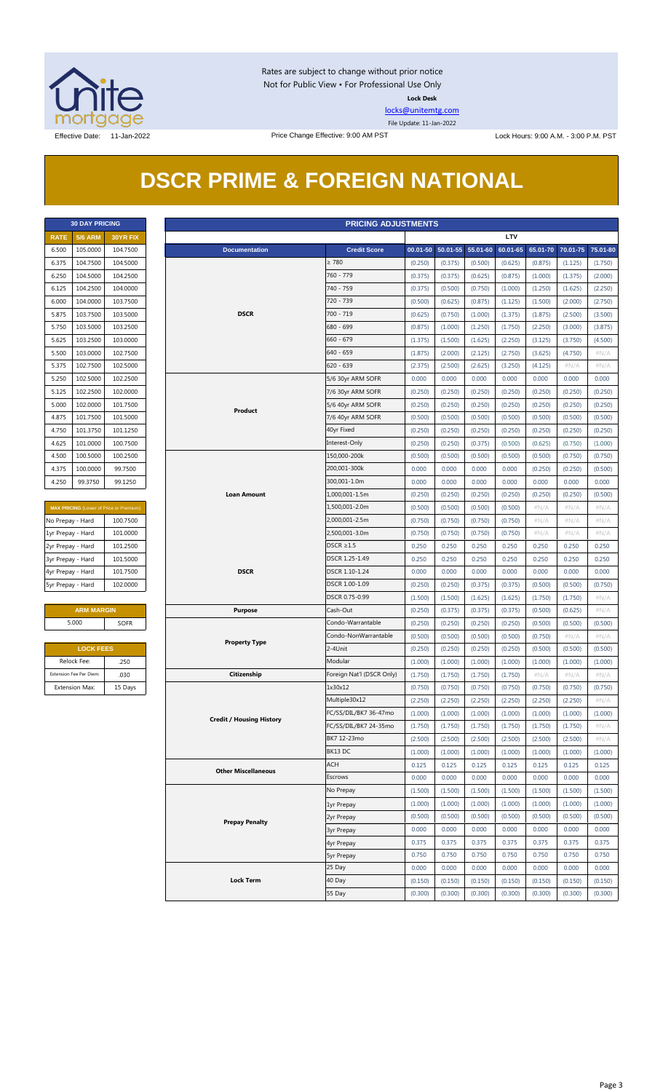

Rates are subject to change without prior notice Not for Public View • For Professional Use Only **Lock Desk**

[locks@unitemtg.com](mailto:locks@unitemtg.com)

File Update: 11-Jan-2022

Effective Date: 11-Jan-2022 Price Change Effective: 9:00 AM PST Lock Hours: 9:00 A.M. - 3:00 P.M. PST

## **DSCR PRIME & FOREIGN NATIONAL**

| <b>30 DAY PRICING</b> |                |                 |  |  |
|-----------------------|----------------|-----------------|--|--|
| <b>RATF</b>           | <b>5/6 ARM</b> | <b>30YR FIX</b> |  |  |
| 6.500                 | 105.0000       | 104.7500        |  |  |
| 6.375                 | 104.7500       | 104.5000        |  |  |
| 6.250                 | 104.5000       | 104.2500        |  |  |
| 6.125                 | 104.2500       | 104.0000        |  |  |
| 6.000                 | 104.0000       | 103.7500        |  |  |
| 5.875                 | 103.7500       | 103.5000        |  |  |
| 5.750                 | 103.5000       | 103.2500        |  |  |
| 5.625                 | 103.2500       | 103.0000        |  |  |
| 5.500                 | 103.0000       | 102.7500        |  |  |
| 5.375                 | 102.7500       | 102.5000        |  |  |
| 5.250                 | 102.5000       | 102.2500        |  |  |
| 5.125                 | 102.2500       | 102,0000        |  |  |
| 5.000                 | 102.0000       | 101.7500        |  |  |
| 4.875                 | 101.7500       | 101.5000        |  |  |
| 4.750                 | 101.3750       | 101.1250        |  |  |
| 4.625                 | 101.0000       | 100.7500        |  |  |
| 4.500                 | 100.5000       | 100.2500        |  |  |
| 4.375                 | 100.0000       | 99.7500         |  |  |
| 4.250                 | 99.3750        | 99.1250         |  |  |

| <b>MAX PRICING</b> (Lower of Price or Premium) |          |  |  |
|------------------------------------------------|----------|--|--|
| No Prepay - Hard<br>100.7500                   |          |  |  |
| 1yr Prepay - Hard                              | 101.0000 |  |  |
| 2yr Prepay - Hard                              | 101.2500 |  |  |
| 3yr Prepay - Hard                              | 101.5000 |  |  |
| 4yr Prepay - Hard                              | 101.7500 |  |  |
| 5yr Prepay - Hard<br>102.0000                  |          |  |  |

| <b>ARM MARGIN</b> |             |  |  |  |
|-------------------|-------------|--|--|--|
| 5.000             | <b>SOFR</b> |  |  |  |

| <b>LOCK FEES</b>        |         |  |  |
|-------------------------|---------|--|--|
| Relock Fee:             | .250    |  |  |
| Extension Fee Per Diem: | .030    |  |  |
| <b>Extension Max:</b>   | 15 Days |  |  |

|                   | <b>30 DAY PRICING</b>                                                                                             |                      |                                 | <b>PRICING ADJUSTMENTS</b> |                  |                   |          |                  |                  |                  |                  |
|-------------------|-------------------------------------------------------------------------------------------------------------------|----------------------|---------------------------------|----------------------------|------------------|-------------------|----------|------------------|------------------|------------------|------------------|
| <b>RATE</b>       | <b>5/6 ARM</b>                                                                                                    | 30YR FIX             |                                 |                            |                  |                   |          | <b>LTV</b>       |                  |                  |                  |
| 6.500             | 105.0000                                                                                                          | 104.7500             | <b>Documentation</b>            | <b>Credit Score</b>        |                  | 00.01-50 50.01-55 | 55.01-60 | 60.01-65         | 65.01-70         | 70.01-75         | 75.01-80         |
| 6.375             | 104.7500                                                                                                          | 104.5000             |                                 | $\geq 780$                 | (0.250)          | (0.375)           | (0.500)  | (0.625)          | (0.875)          | (1.125)          | (1.750)          |
| 6.250             | 104.5000                                                                                                          | 104.2500             |                                 | 760 - 779                  | (0.375)          | (0.375)           | (0.625)  | (0.875)          | (1.000)          | (1.375)          | (2.000)          |
| 6.125             | 104.2500                                                                                                          | 104.0000             |                                 | 740 - 759                  | (0.375)          | (0.500)           | (0.750)  | (1.000)          | (1.250)          | (1.625)          | (2.250)          |
| 6.000             | 104.0000                                                                                                          | 103.7500             |                                 | 720 - 739                  | (0.500)          | (0.625)           | (0.875)  | (1.125)          | (1.500)          | (2.000)          | (2.750)          |
| 5.875             | 103.7500                                                                                                          | 103.5000             | <b>DSCR</b>                     | $700 - 719$                | (0.625)          | (0.750)           | (1.000)  | (1.375)          | (1.875)          | (2.500)          | (3.500)          |
| 5.750             | 103.5000                                                                                                          | 103.2500             |                                 | 680 - 699                  | (0.875)          | (1.000)           | (1.250)  | (1.750)          | (2.250)          | (3.000)          | (3.875)          |
| 5.625             | 103.2500                                                                                                          | 103.0000             |                                 | $660 - 679$                | (1.375)          | (1.500)           | (1.625)  | (2.250)          | (3.125)          | (3.750)          | (4.500)          |
| 5.500             | 103.0000                                                                                                          | 102.7500             |                                 | $640 - 659$                | (1.875)          | (2.000)           | (2.125)  | (2.750)          | (3.625)          | (4.750)          | $\#N/A$          |
| 5.375             | 102.7500                                                                                                          | 102.5000             |                                 | $620 - 639$                | (2.375)          | (2.500)           | (2.625)  | (3.250)          | (4.125)          | #N/A             | $\#N/A$          |
| 5.250             | 102.5000                                                                                                          | 102.2500             |                                 | 5/6 30yr ARM SOFR          | 0.000            | 0.000             | 0.000    | 0.000            | 0.000            | 0.000            | 0.000            |
| 5.125             | 102.2500                                                                                                          | 102.0000             |                                 | 7/6 30yr ARM SOFR          | (0.250)          | (0.250)           | (0.250)  | (0.250)          | (0.250)          | (0.250)          | (0.250)          |
| 5.000             | 102.0000                                                                                                          | 101.7500             |                                 | 5/6 40yr ARM SOFR          | (0.250)          | (0.250)           | (0.250)  | (0.250)          | (0.250)          | (0.250)          | (0.250)          |
| 4.875             | 101.7500                                                                                                          | 101.5000             | Product                         | 7/6 40yr ARM SOFR          | (0.500)          | (0.500)           | (0.500)  | (0.500)          | (0.500)          | (0.500)          | (0.500)          |
| 4.750             | 101.3750<br>101.1250<br>101.0000<br>100.7500<br>100.5000<br>100.2500<br>100.0000<br>99.7500<br>99.3750<br>99.1250 |                      |                                 | 40yr Fixed                 | (0.250)          | (0.250)           | (0.250)  | (0.250)          | (0.250)          | (0.250)          | (0.250)          |
| 4.625             |                                                                                                                   |                      |                                 | Interest-Only              | (0.250)          | (0.250)           | (0.375)  | (0.500)          | (0.625)          | (0.750)          | (1.000)          |
| 4.500             |                                                                                                                   |                      |                                 | 150,000-200k               | (0.500)          | (0.500)           | (0.500)  | (0.500)          | (0.500)          | (0.750)          | (0.750)          |
| 4.375             |                                                                                                                   |                      |                                 | 200,001-300k               | 0.000            | 0.000             | 0.000    | 0.000            | (0.250)          | (0.250)          | (0.500)          |
| 4.250             |                                                                                                                   |                      |                                 | 300,001-1.0m               | 0.000            | 0.000             | 0.000    | 0.000            | 0.000            | 0.000            | 0.000            |
|                   |                                                                                                                   |                      | <b>Loan Amount</b>              | 1,000,001-1.5m             | (0.250)          | (0.250)           | (0.250)  | (0.250)          | (0.250)          | (0.250)          | (0.500)          |
|                   | MAX PRICING (Lower of Price or Premium)<br>100.7500<br>No Prepay - Hard                                           |                      |                                 | 1,500,001-2.0m             | (0.500)          | (0.500)           | (0.500)  | (0.500)          | $\#N/A$          | $\#N/A$          | $\#N/A$          |
|                   |                                                                                                                   |                      |                                 | 2,000,001-2.5m             | (0.750)          | (0.750)           | (0.750)  | (0.750)          | $\#N/A$          | $\#N/A$          | # $N/A$          |
|                   |                                                                                                                   |                      |                                 | 2,500,001-3.0m             |                  |                   | (0.750)  |                  |                  |                  |                  |
| 1yr Prepay - Hard |                                                                                                                   | 101.0000<br>101.2500 |                                 | $DSCR \geq 1.5$            | (0.750)<br>0.250 | (0.750)<br>0.250  | 0.250    | (0.750)<br>0.250 | $\#N/A$<br>0.250 | $\#N/A$<br>0.250 | $\#N/A$<br>0.250 |
| 2yr Prepay - Hard |                                                                                                                   |                      |                                 | DSCR 1.25-1.49             |                  |                   |          |                  |                  |                  |                  |
| 3yr Prepay - Hard |                                                                                                                   | 101.5000             | <b>DSCR</b>                     | DSCR 1.10-1.24             | 0.250            | 0.250             | 0.250    | 0.250            | 0.250            | 0.250            | 0.250            |
| 4yr Prepay - Hard |                                                                                                                   | 101.7500             |                                 |                            | 0.000            | 0.000             | 0.000    | 0.000            | 0.000            | 0.000            | 0.000            |
| 5yr Prepay - Hard |                                                                                                                   | 102.0000             |                                 | DSCR 1.00-1.09             | (0.250)          | (0.250)           | (0.375)  | (0.375)          | (0.500)          | (0.500)          | (0.750)          |
|                   |                                                                                                                   |                      |                                 | DSCR 0.75-0.99             | (1.500)          | (1.500)           | (1.625)  | (1.625)          | (1.750)          | (1.750)          | $\#N/A$          |
|                   | <b>ARM MARGIN</b>                                                                                                 |                      | <b>Purpose</b>                  | Cash-Out                   | (0.250)          | (0.375)           | (0.375)  | (0.375)          | (0.500)          | (0.625)          | $\#N/A$          |
|                   | 5.000                                                                                                             | SOFR                 |                                 | Condo-Warrantable          | (0.250)          | (0.250)           | (0.250)  | (0.250)          | (0.500)          | (0.500)          | (0.500)          |
|                   |                                                                                                                   |                      | <b>Property Type</b>            | Condo-NonWarrantable       | (0.500)          | (0.500)           | (0.500)  | (0.500)          | (0.750)          | $\#N/A$          | #N/A             |
|                   | <b>LOCK FEES</b>                                                                                                  |                      |                                 | 2-4Unit                    | (0.250)          | (0.250)           | (0.250)  | (0.250)          | (0.500)          | (0.500)          | (0.500)          |
|                   | Relock Fee:                                                                                                       | .250                 |                                 | Modular                    | (1.000)          | (1.000)           | (1.000)  | (1.000)          | (1.000)          | (1.000)          | (1.000)          |
|                   | Extension Fee Per Diem:                                                                                           | .030                 | Citizenship                     | Foreign Nat'l (DSCR Only)  | (1.750)          | (1.750)           | (1.750)  | (1.750)          | $\#N/A$          | $\#N/A$          | $\#N/A$          |
|                   | <b>Extension Max:</b>                                                                                             | 15 Days              |                                 | 1x30x12                    | (0.750)          | (0.750)           | (0.750)  | (0.750)          | (0.750)          | (0.750)          | (0.750)          |
|                   |                                                                                                                   |                      |                                 | Multiple30x12              | (2.250)          | (2.250)           | (2.250)  | (2.250)          | (2.250)          | (2.250)          | $\#N/A$          |
|                   |                                                                                                                   |                      | <b>Credit / Housing History</b> | FC/SS/DIL/BK7 36-47mo      | (1.000)          | (1.000)           | (1.000)  | (1.000)          | (1.000)          | (1.000)          | (1.000)          |
|                   |                                                                                                                   |                      |                                 | FC/SS/DIL/BK7 24-35mo      | (1.750)          | (1.750)           | (1.750)  | (1.750)          | (1.750)          | (1.750)          | #N/A             |
|                   |                                                                                                                   |                      |                                 | BK7 12-23mo                | (2.500)          | (2.500)           | (2.500)  | (2.500)          | (2.500)          | (2.500)          | $\#N/A$          |
|                   |                                                                                                                   |                      |                                 | BK13 DC                    | (1.000)          | (1.000)           | (1.000)  | (1.000)          | (1.000)          | (1.000)          | (1.000)          |
|                   |                                                                                                                   |                      | <b>Other Miscellaneous</b>      | ACH                        | 0.125            | 0.125             | 0.125    | 0.125            | 0.125            | 0.125            | 0.125            |
|                   |                                                                                                                   |                      |                                 | Escrows                    | 0.000            | 0.000             | 0.000    | 0.000            | 0.000            | 0.000            | 0.000            |
|                   |                                                                                                                   |                      |                                 | No Prepay                  | (1.500)          | (1.500)           | (1.500)  | (1.500)          | (1.500)          | (1.500)          | (1.500)          |
|                   |                                                                                                                   |                      |                                 | 1yr Prepay                 | (1.000)          | (1.000)           | (1.000)  | (1.000)          | (1.000)          | (1.000)          | (1.000)          |
|                   |                                                                                                                   |                      | <b>Prepay Penalty</b>           | 2yr Prepay                 | (0.500)          | (0.500)           | (0.500)  | (0.500)          | (0.500)          | (0.500)          | (0.500)          |
|                   |                                                                                                                   |                      |                                 | <b>3yr Prepay</b>          | 0.000            | 0.000             | 0.000    | 0.000            | 0.000            | 0.000            | 0.000            |
|                   |                                                                                                                   |                      |                                 | 4yr Prepay                 | 0.375            | 0.375             | 0.375    | 0.375            | 0.375            | 0.375            | 0.375            |
|                   |                                                                                                                   |                      |                                 | <b>5yr Prepay</b>          | 0.750            | 0.750             | 0.750    | 0.750            | 0.750            | 0.750            | 0.750            |
|                   |                                                                                                                   |                      |                                 | 25 Day                     | 0.000            | 0.000             | 0.000    | 0.000            | 0.000            | 0.000            | 0.000            |
|                   |                                                                                                                   |                      | <b>Lock Term</b>                | 40 Day                     | (0.150)          | (0.150)           | (0.150)  | (0.150)          | (0.150)          | (0.150)          | (0.150)          |
|                   |                                                                                                                   |                      |                                 | 55 Day                     | (0.300)          | (0.300)           | (0.300)  | (0.300)          | (0.300)          | (0.300)          | (0.300)          |
|                   |                                                                                                                   |                      |                                 |                            |                  |                   |          |                  |                  |                  |                  |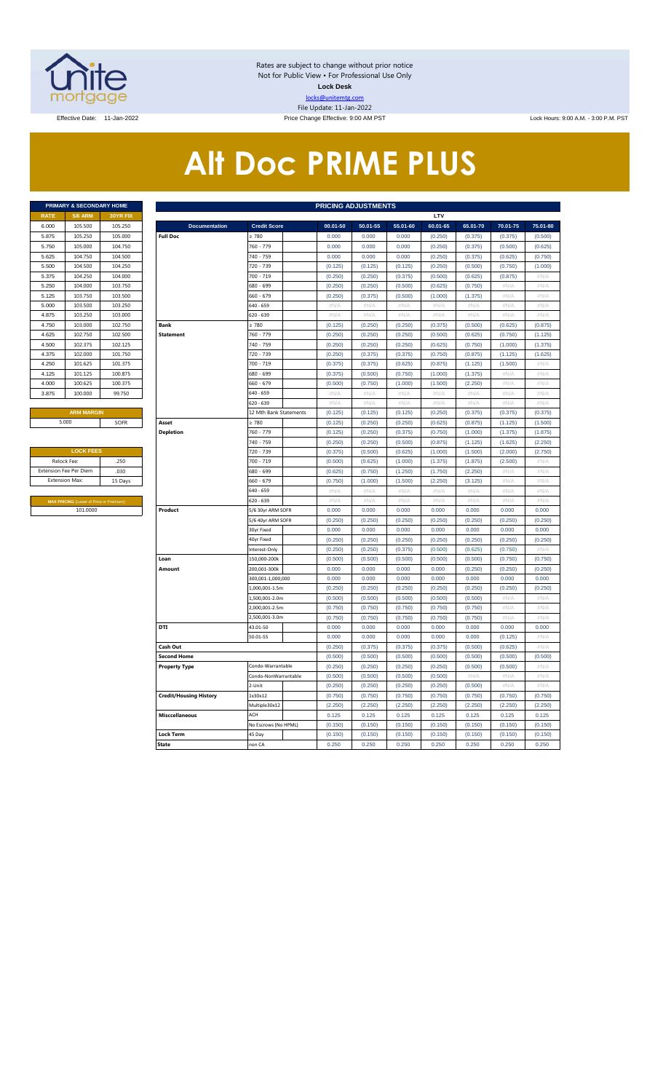

Rates are subject to change without prior notice Not for Public View • For Professional Use Only **Lock Desk** locks@unitemtg.com File Update: 11-Jan-2022 Effective Date: 11-Jan-2022 Price Change Effective: 9:00 AM PST Lock Hours: 9:00 A.M. - 3:00 P.M. PST

# **Alt Doc PRIME PLUS**

| <b>5/6 ARM</b><br><b>30YR FIX</b><br><b>RATE</b><br>105.500<br>105.250<br>6.000<br>105.250<br>105,000<br>5.875<br>105,000<br>104.750<br>5.750<br>104.750<br>104.500<br>5.625<br>104.250<br>104.500<br>5.500<br>104.250<br>104,000<br>5.375<br>104.000<br>103.750<br>5.250<br>103.750<br>103.500<br>5.125<br>103.250<br>103.500<br>5.000<br>103.250<br>103,000<br>4.875<br>103,000<br>102.750<br>4.750<br>102.750<br>102.500<br>4.625<br>102.125<br>4.500<br>102.375<br>102,000<br>101.750<br>4.375<br>101.625<br>101.375<br>4.250<br>101.125<br>100.875<br>4.125<br>4.000<br>100.625<br>100.375<br>100.000<br>99.750<br>3.875 | <b>PRIMARY &amp; SECONDARY HOME</b> |  |
|-------------------------------------------------------------------------------------------------------------------------------------------------------------------------------------------------------------------------------------------------------------------------------------------------------------------------------------------------------------------------------------------------------------------------------------------------------------------------------------------------------------------------------------------------------------------------------------------------------------------------------|-------------------------------------|--|
|                                                                                                                                                                                                                                                                                                                                                                                                                                                                                                                                                                                                                               |                                     |  |
|                                                                                                                                                                                                                                                                                                                                                                                                                                                                                                                                                                                                                               |                                     |  |
|                                                                                                                                                                                                                                                                                                                                                                                                                                                                                                                                                                                                                               |                                     |  |
|                                                                                                                                                                                                                                                                                                                                                                                                                                                                                                                                                                                                                               |                                     |  |
|                                                                                                                                                                                                                                                                                                                                                                                                                                                                                                                                                                                                                               |                                     |  |
|                                                                                                                                                                                                                                                                                                                                                                                                                                                                                                                                                                                                                               |                                     |  |
|                                                                                                                                                                                                                                                                                                                                                                                                                                                                                                                                                                                                                               |                                     |  |
|                                                                                                                                                                                                                                                                                                                                                                                                                                                                                                                                                                                                                               |                                     |  |
|                                                                                                                                                                                                                                                                                                                                                                                                                                                                                                                                                                                                                               |                                     |  |
|                                                                                                                                                                                                                                                                                                                                                                                                                                                                                                                                                                                                                               |                                     |  |
|                                                                                                                                                                                                                                                                                                                                                                                                                                                                                                                                                                                                                               |                                     |  |
|                                                                                                                                                                                                                                                                                                                                                                                                                                                                                                                                                                                                                               |                                     |  |
|                                                                                                                                                                                                                                                                                                                                                                                                                                                                                                                                                                                                                               |                                     |  |
|                                                                                                                                                                                                                                                                                                                                                                                                                                                                                                                                                                                                                               |                                     |  |
|                                                                                                                                                                                                                                                                                                                                                                                                                                                                                                                                                                                                                               |                                     |  |
|                                                                                                                                                                                                                                                                                                                                                                                                                                                                                                                                                                                                                               |                                     |  |
|                                                                                                                                                                                                                                                                                                                                                                                                                                                                                                                                                                                                                               |                                     |  |
|                                                                                                                                                                                                                                                                                                                                                                                                                                                                                                                                                                                                                               |                                     |  |
|                                                                                                                                                                                                                                                                                                                                                                                                                                                                                                                                                                                                                               |                                     |  |
|                                                                                                                                                                                                                                                                                                                                                                                                                                                                                                                                                                                                                               |                                     |  |

| <b>LOCK FEES</b>                               |         |
|------------------------------------------------|---------|
| Relock Fee:                                    | .250    |
| <b>Extension Fee Per Diem</b>                  | .030    |
| <b>Extension Max:</b>                          | 15 Days |
|                                                |         |
| <b>MAX PRICING (Lower of Price or Premium)</b> |         |
| 101,0000                                       |         |

|       | PRIMARY & SECONDARY HOME                |                 | <b>PRICING ADJUSTMENTS</b>    |                        |                           |                    |                    |                           |                    |                    |                  |
|-------|-----------------------------------------|-----------------|-------------------------------|------------------------|---------------------------|--------------------|--------------------|---------------------------|--------------------|--------------------|------------------|
| RATE  | <b>5/6 ARM</b>                          | <b>30YR FI)</b> |                               |                        |                           |                    |                    | LTV                       |                    |                    |                  |
| 6.000 | 105.500                                 | 105.250         | <b>Documentation</b>          | <b>Credit Score</b>    | 00.01-50                  | 50.01-55           | 55.01-60           | 60.01-65                  | 65.01-70           | 70.01-75           | 75.01-80         |
| 5.875 | 105.250                                 | 105.000         | <b>Full Doc</b>               | 2780                   | 0.000                     | 0.000              | 0.000              | (0.250)                   | (0.375)            | (0.375)            | (0.500)          |
| 5.750 | 105.000                                 | 104.750         |                               | 760 - 779              | 0.000                     | 0.000              | 0.000              | (0.250)                   | (0.375)            | (0.500)            | (0.625)          |
| 5.625 | 104.750                                 | 104.500         |                               | 740 - 759              | 0.000                     | 0.000              | 0.000              | (0.250)                   | (0.375)            | (0.625)            | (0.750)          |
| 5.500 | 104.500                                 | 104.250         |                               | 720 - 739              | (0.125)                   | (0.125)            | (0.125)            | (0.250)                   | (0.500)            | (0.750)            | (1.000)          |
| 5.375 | 104.250                                 | 104.000         |                               | 700 - 719              | (0.250)                   | (0.250)            | (0.375)            | (0.500)                   | (0.625)            | (0.875)            | #N/A             |
| 5.250 | 104.000                                 | 103.750         |                               | 680 - 699              | (0.250)                   | (0.250)            | (0.500)            | (0.625)                   | (0.750)            | #N//               | $\#N/\beta$      |
| 5.125 | 103.750                                 | 103.500         |                               | 660 - 679              | (0.250)                   | (0.375)            | (0.500)            | (1.000)                   | (1.375)            | #N/A               | #N/A             |
| 5.000 | 103.500                                 | 103.250         |                               | 640 - 659              | $\#\mathsf{N}/\mathsf{A}$ | # $N/A$            | $\#N/A$            | $\#\mathsf{N}/\mathsf{A}$ | #N/A               | #N/A               | #N/A             |
| 4.875 | 103.250                                 | 103.000         |                               | 620 - 639              | $\#N/A$                   | $\#N/A$            | #N/A               | #N/A                      | #N/A               | #N/A               | #N/A             |
| 4.750 | 103.000                                 | 102.750         | Bank                          | >780                   | (0.125)                   | (0.250)            | (0.250)            | (0.375)                   | (0.500)            | (0.625)            | (0.875)          |
| 4.625 | 102.750                                 | 102.500         | <b>Statement</b>              | 760 - 779              | (0.250)                   | (0.250)            | (0.250)            | (0.500)                   | (0.625)            | (0.750)            | (1.125)          |
| 4.500 | 102.375                                 | 102.125         |                               | 740 - 759              | (0.250)                   | (0.250)            | (0.250)            | (0.625)                   | (0.750)            | (1.000)            | (1.375)          |
| 4.375 | 102.000                                 | 101.750         |                               | 720 - 739              | (0.250)                   | (0.375)            | (0.375)            | (0.750)                   | (0.875)            | (1.125)            | (1.625)          |
| 4.250 | 101.625                                 | 101.375         |                               | 700 - 719              | (0.375)                   | (0.375)            | (0.625)            | (0.875)                   | (1.125)            | (1.500)            | #N/A             |
| 4.125 | 101.125                                 | 100.875         |                               | 680 - 699              | (0.375)                   | (0.500)            | (0.750)            | (1.000)                   | (1.375)            | $\#N/F$            | #N/A             |
| 4.000 | 100.625                                 | 100.375         |                               | 660 - 679              | (0.500)                   | (0.750)            | (1.000)            | (1.500)                   | (2.250)            | #N/A               | #N/A             |
| 3.875 | 100,000                                 | 99.750          |                               | 640 - 659              | $\#\mathsf{N}/\mathsf{A}$ | $\#N/A$            | $\#N/\beta$        | #N/A                      | #N/A               | #N/A               | $\#N/A$          |
|       |                                         |                 |                               | 620 - 639              | #N/A                      | #N/A               | #N/A               | #N/A                      | #N/A               | #N/A               | #N/A             |
|       | <b>ARM MARGIN</b>                       |                 |                               | 12 Mth Bank Statements | (0.125)                   | (0.125)            | (0.125)            | (0.250)                   | (0.375)            | (0.375)            | (0.375)          |
|       | 5.000                                   | SOFR            | Asset                         | $\geq 780$             | (0.125)                   | (0.250)            | (0.250)            | (0.625)                   | (0.875)            | (1.125)            | (1.500)          |
|       |                                         |                 | <b>Depletion</b>              | 760 - 779              | (0.125)                   | (0.250)            | (0.375)            | (0.750)                   | (1.000)            | (1.375)            | (1.875)          |
|       | <b>LOCK FEES</b>                        |                 |                               | 740 - 759              | (0.250)                   | (0.250)            | (0.500)            | (0.875)                   | (1.125)            | (1.625)            | (2.250)          |
|       | Relock Fee:                             | .250            |                               | 720 - 739<br>700 - 719 | (0.375)                   | (0.500)            | (0.625)            | (1.000)                   | (1.500)            | (2.000)            | (2.750)          |
|       | xtension Fee Per Diem                   | .030            |                               | 680 - 699              | (0.500)<br>(0.625)        | (0.625)<br>(0.750) | (1.000)<br>(1.250) | (1.375)                   | (1.875)<br>(2.250) | (2.500)<br>#N/ $/$ | #N/A<br>#N/A     |
|       | Extension Max:                          | 15 Days         |                               | $560 - 679$            | (0.750)                   | (1.000)            | (1.500)            | (1.750)<br>(2.250)        | (3.125)            | #N/A               | $\#N/A$          |
|       |                                         |                 |                               | 640 - 659              | #N/A                      | #N/A               | #N/A               | #N/A                      | #N/A               | $\#N/\ell$         | $\#N/\beta$      |
|       | MAX PRICING (Lower of Price or Premium) |                 |                               | 620 - 639              | #N/A                      | #N/A               | #N/A               | $\#N/A$                   | #N/A               | # $N/A$            | #N/A             |
|       | 101.0000                                |                 | Product                       | 5/6 30yr ARM SOFR      | 0.000                     | 0.000              | 0.000              | 0.000                     | 0.000              | 0.000              | 0.000            |
|       |                                         |                 |                               | 5/6 40yr ARM SOFR      | (0.250)                   | (0.250)            | (0.250)            | (0.250)                   | (0.250)            | (0.250)            | (0.250)          |
|       |                                         |                 |                               | 30yr Fixed             | 0.000                     | 0.000              | 0.000              | 0.000                     | 0.000              | 0.000              | 0.000            |
|       |                                         |                 |                               | 40yr Fixed             | (0.250)                   | (0.250)            | (0.250)            | (0.250)                   | (0.250)            | (0.250)            | (0.250)          |
|       |                                         |                 |                               | Interest-Only          | (0.250)                   | (0.250)            | (0.375)            | (0.500)                   | (0.625)            | (0.750)            | $\#N/A$          |
|       |                                         |                 | Loan                          | 150,000-200k           | (0.500)                   | (0.500)            | (0.500)            | (0.500)                   | (0.500)            | (0.750)            | (0.750)          |
|       |                                         |                 | Amount                        | 200,001-300k           | 0.000                     | 0.000              | 0.000              | 0.000                     | (0.250)            | (0.250)            | (0.250)          |
|       |                                         |                 |                               | 300,001-1,000,000      | 0.000                     | 0.000              | 0.000              | 0.000                     | 0.000              | 0.000              | 0.000            |
|       |                                         |                 |                               | 1,000,001-1.5m         | (0.250)                   | (0.250)            | (0.250)            | (0.250)                   | (0.250)            | (0.250)            | (0.250)          |
|       |                                         |                 |                               | ,500,001-2.0m          | (0.500)                   | (0.500)            | (0.500)            | (0.500)                   | (0.500)            | #N/A               | #N/A             |
|       |                                         |                 |                               | 2,000,001-2.5m         | (0.750)                   | (0.750)            | (0.750)            | (0.750)                   | (0.750)            | # $N/A$            | #N/A             |
|       |                                         |                 |                               | ,500,001-3.0m          | (0.750)                   | (0.750)            | (0.750)            | (0.750)                   | (0.750)            | #N/A               | $\#N/A$          |
|       |                                         |                 | DTI                           | 43.01-50               | 0.000                     | 0.000              | 0.000              | 0.000                     | 0.000              | 0.000              | 0.000            |
|       |                                         |                 |                               | 50.01-55               | 0.000                     | 0.000              | 0.000              | 0.000                     | 0.000              | (0.125)            | #N/A             |
|       |                                         |                 | Cash Out                      |                        | (0.250)                   | (0.375)            | (0.375)            | (0.375)                   | (0.500)            | (0.625)            | #N/A             |
|       |                                         |                 | <b>Second Home</b>            |                        | (0.500)                   | (0.500)            | (0.500)            | (0.500)                   | (0.500)            | (0.500)            | (0.500)          |
|       |                                         |                 | <b>Property Type</b>          | Condo-Warrantable      | (0.250)                   | (0.250)            | (0.250)            | (0.250)                   | (0.500)            | (0.500)            | #N/A             |
|       |                                         |                 |                               | Condo-NonWarrantable   | (0.500)                   | (0.500)            | (0.500)            | (0.500)                   | #N/A               | #N/A               | #N/A             |
|       |                                         |                 |                               | 2-Unit                 | (0.250)                   | (0.250)            | (0.250)            | (0.250)                   | (0.500)            | # $N/A$            | #N/A             |
|       |                                         |                 | <b>Credit/Housing History</b> | 1x30x12                | (0.750)                   | (0.750)            | (0.750)            | (0.750)                   | (0.750)            | (0.750)            | (0.750)          |
|       |                                         |                 |                               | Multiple30x12          | (2.250)                   | (2.250)            | (2.250)            | (2.250)                   | (2.250)            | (2.250)            | (2.250)          |
|       |                                         |                 | <b>Misccellaneous</b>         | ACH                    | 0.125                     | 0.125              | 0.125              | 0.125                     | 0.125              | 0.125              | 0.125            |
|       |                                         |                 | <b>Lock Term</b>              | No Escrows (No HPML)   | (0.150)                   | (0.150)            | (0.150)            | (0.150)                   | (0.150)            | (0.150)            | (0.150)          |
|       |                                         |                 |                               | 45 Day                 | (0.150)<br>0.250          | (0.150)<br>0.250   | (0.150)<br>0.250   | (0.150)<br>0.250          | (0.150)<br>0.250   | (0.150)<br>0.250   | (0.150)<br>0.250 |
|       |                                         |                 | <b>State</b>                  | non CA                 |                           |                    |                    |                           |                    |                    |                  |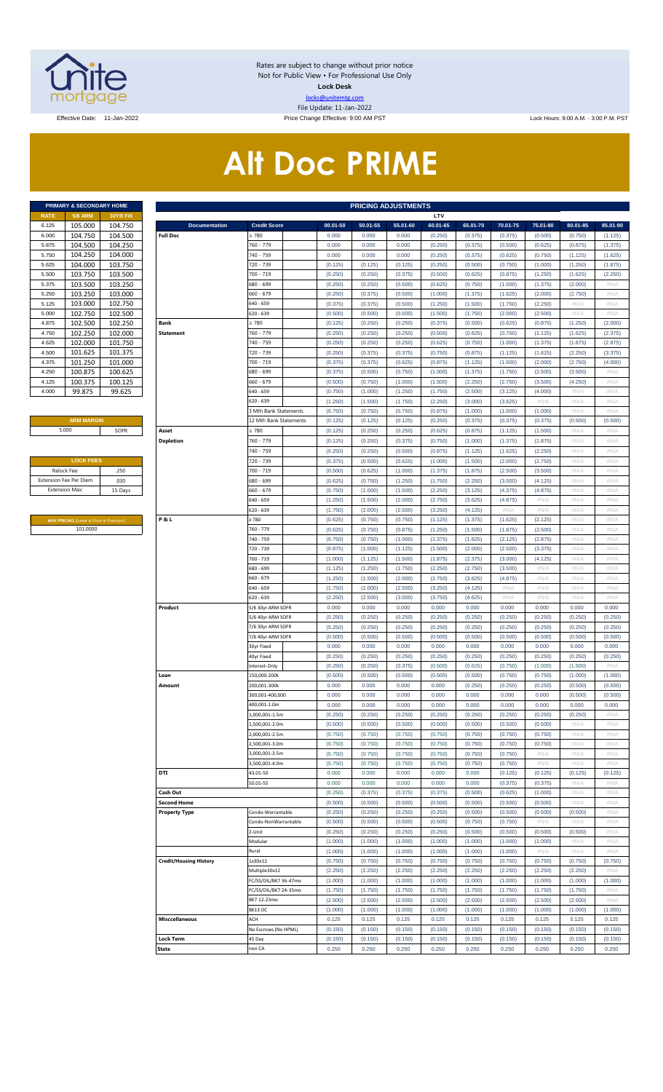

Rates are subject to change without prior notice Not for Public View • For Professional Use Only **Lock Desk** locks@unitemtg.com File Update: 11-Jan-2022

Effective Date: 11-Jan-2022 **Price Change Effective: 9:00 AM PST** Lock Hours: 9:00 A.M. - 3:00 P.M. PST

# **Alt Doc PRIME**

|             | <b>PRIMARY &amp; SECONDARY HOME</b> |                 |
|-------------|-------------------------------------|-----------------|
| <b>RATE</b> | <b>5/6 ARM</b>                      | <b>30YR FIX</b> |
| 6.125       | 105.000                             | 104.750         |
| 6.000       | 104.750                             | 104.500         |
| 5.875       | 104.500                             | 104.250         |
| 5.750       | 104.250                             | 104.000         |
| 5.625       | 104.000                             | 103.750         |
| 5.500       | 103.750                             | 103.500         |
| 5.375       | 103.500                             | 103.250         |
| 5.250       | 103.250                             | 103.000         |
| 5.125       | 103.000                             | 102.750         |
| 5.000       | 102.750                             | 102.500         |
| 4.875       | 102.500                             | 102.250         |
| 4.750       | 102.250                             | 102.000         |
| 4.625       | 102.000                             | 101.750         |
| 4.500       | 101.625                             | 101.375         |
| 4.375       | 101.250                             | 101.000         |
| 4.250       | 100.875                             | 100.625         |
| 4.125       | 100.375                             | 100.125         |
| 4.000       | 99.875                              | 99.625          |

#### **ARM MARGIN**

| <b>LOCK FEES</b>              |         |
|-------------------------------|---------|
| Relock Fee:                   | .250    |
| <b>Extension Fee Per Diem</b> | .030    |
| <b>Extension Max:</b>         | 15 Days |
|                               |         |

**MAX PRICING** (Lower of Price or Premium) 101.0000

|                |                                         | PRIMARY & SECONDARY HOME | <b>PRICING ADJUSTMENTS</b>       |                              |                    |                    |                    |                    |                    |                    |                    |                    |                    |
|----------------|-----------------------------------------|--------------------------|----------------------------------|------------------------------|--------------------|--------------------|--------------------|--------------------|--------------------|--------------------|--------------------|--------------------|--------------------|
| RATE           | <b>5/6 ARM</b>                          | 30YR FIX                 |                                  |                              |                    |                    |                    | LTV                |                    |                    |                    |                    |                    |
| 6.125          | 105.000                                 | 104.750                  | <b>Documentation</b>             | <b>Credit Score</b>          | 00.01-50           | 50.01-55           | 55.01-60           | 60.01-65           | 65.01-70           | 70.01-75           | 75.01-80           | 80.01-85           | 85.01-90           |
| 6.000          | 104.750                                 | 104.500<br>104.250       | <b>Full Doc</b>                  | 2780<br>760 - 779            | 0.000              | 0.000<br>0.000     | 0.000<br>0.000     | (0.250)            | (0.375)            | (0.375)            | (0.500)            | (0.750)            | (1.125)            |
| 5.875<br>5.750 | 104.500<br>104.250                      | 104.000                  |                                  | 740 - 759                    | 0.000<br>0.000     | 0.000              | 0.000              | (0.250)<br>(0.250) | (0.375)<br>(0.375) | (0.500)<br>(0.625) | (0.625)<br>(0.750) | (0.875)<br>(1.125) | (1.375)<br>(1.625) |
| 5.625          | 104.000                                 | 103.750                  |                                  | 720 - 739                    | (0.125)            | (0.125)            | (0.125)            | (0.250)            | (0.500)            | (0.750)            | (1.000)            | (1.250)            | (1.875)            |
| 5.500          | 103.750                                 | 103.500                  |                                  | 700 - 719                    | (0.250)            | (0.250)            | (0.375)            | (0.500)            | (0.625)            | (0.875)            | (1.250)            | (1.625)            | (2.250)            |
| 5.375          | 103.500                                 | 103.250                  |                                  | 680 - 699                    | (0.250)            | (0.250)            | (0.500)            | (0.625)            | (0.750)            | (1.000)            | (1.375)            | (2.000)            | #N/A               |
| 5.250          | 103.250                                 | 103.000                  |                                  | 660 - 679                    | (0.250)            | (0.375)            | (0.500)            | (1.000)            | (1.375)            | (1.625)            | (2.000)            | (2.750)            | #N/A               |
| 5.125          | 103.000                                 | 102.750                  |                                  | 640 - 659                    | (0.375)            | (0.375)            | (0.500)            | (1.250)            | (1.500)            | (1.750)            | (2.250)            | #N/A               | #N/A               |
| 5.000          | 102.750                                 | 102.500                  |                                  | 620 - 639                    | (0.500)            | (0.500)            | (0.500)            | (1.500)            | (1.750)            | (2.000)            | (2.500)            | #N/A               | #N/A               |
| 4.875          | 102.500                                 | 102.250                  | Bank                             | > 780                        | (0.125)            | (0.250)            | (0.250)            | (0.375)            | (0.500)            | (0.625)            | (0.875)            | (1.250)            | (2.000)            |
| 4.750          | 102.250                                 | 102.000                  | <b>Statement</b>                 | 760 - 779                    | (0.250)            | (0.250)            | (0.250)            | (0.500)            | (0.625)            | (0.750)            | (1.125)            | (1.625)            | (2.375)            |
| 4.625          | 102.000                                 | 101.750                  |                                  | 740 - 759                    | (0.250)            | (0.250)            | (0.250)            | (0.625)            | (0.750)            | (1.000)            | (1.375)            | (1.875)            | (2.875)            |
| 4.500          | 101.625                                 | 101.375                  |                                  | 720 - 739                    | (0.250)            | (0.375)            | (0.375)            | (0.750)            | (0.875)            | (1.125)            | (1.625)            | (2.250)            | (3.375)            |
| 4.375          | 101.250                                 | 101.000                  |                                  | 700 - 719                    | (0.375)            | (0.375)            | (0.625)            | (0.875)            | (1.125)            | (1.500)            | (2.000)            | (2.750)            | (4.000)            |
| 4.250          | 100.875                                 | 100.625                  |                                  | 680 - 699                    | (0.375)            | (0.500)            | (0.750)            | (1.000)            | (1.375)            | (1.750)            | (2.500)            | (3.500)            | #N/A               |
| 4.125          | 100.375                                 | 100.125                  |                                  | 660 - 679                    | (0.500)            | (0.750)            | (1.000)            | (1.500)            | (2.250)            | (2.750)            | (3.500)            | (4.250)            | #N/A               |
| 4.000          | 99.875                                  | 99.625                   |                                  | 640 - 659                    | (0.750)            | (1.000)            | (1.250)            | (1.750)            | (2.500)            | (3.125)            | (4.000)            | #N/A               | #N/A               |
|                |                                         |                          |                                  | 620 - 639                    | (1.250)            | (1.500)            | (1.750)            | (2.250)            | (3.000)            | (3.625)            | #N/A               | #N/A               | #N/A               |
|                |                                         |                          |                                  | 3 Mth Bank Statements        | (0.750)            | (0.750)            | (0.750)            | (0.875)            | (1.000)            | (1.000)            | (1.000)            | #N/A               | #N/A               |
|                | <b>ARM MARGIN</b>                       |                          |                                  | 12 Mth Bank Statements       | (0.125)            | (0.125)            | (0.125)            | (0.250)            | (0.375)            | (0.375)            | (0.375)            | (0.500)            | (0.500)            |
|                | 5.000                                   | SOFR                     | Asset                            | $\geq 780$                   | (0.125)            | (0.250)            | (0.250)            | (0.625)            | (0.875)            | (1.125)            | (1.500)            | #N/A               | #N/A               |
|                |                                         |                          | <b>Depletion</b>                 | 760 - 779                    | (0.125)            | (0.250)            | (0.375)            | (0.750)            | (1.000)            | (1.375)            | (1.875)            | #N/A               | #N/A               |
|                |                                         |                          |                                  | 740 - 759                    | (0.250)            | (0.250)            | (0.500)            | (0.875)            | (1.125)            | (1.625)            | (2.250)            | #N/A               | #N/A               |
|                | <b>LOCK FEES</b>                        |                          |                                  | 720 - 739                    | (0.375)            | (0.500)            | (0.625)            | (1.000)            | (1.500)            | (2.000)            | (2.750)            | #N/A               | #N/A               |
|                | Relock Fee:                             | .250                     |                                  | 700 - 719                    | (0.500)            | (0.625)            | (1.000)            | (1.375)            | (1.875)            | (2.500)            | (3.500)            | #N/A               | #N/A               |
|                | xtension Fee Per Diem                   | .030                     |                                  | 580 - 699                    | (0.625)            | (0.750)            | (1.250)            | (1.750)            | (2.250)            | (3.000)            | (4.125)            | #N/A               | #N/A               |
|                | Extension Max:                          | 15 Days                  |                                  | 660 - 679                    | (0.750)            | (1.000)            | (1.500)            | (2.250)            | (3.125)            | (4.375)            | (4.875)            | #N/A               | #N/A               |
|                |                                         |                          |                                  | 540 - 659                    | (1.250)            | (1.500)            | (2.000)            | (2.750)            | (3.625)            | (4.875)            | #N/A               | #N/A               | #N/A               |
|                |                                         |                          |                                  | 620 - 639                    | (1.750)            | (2.000)            | (2.500)            | (3.250)            | (4.125)            | #N/A               | #N/A               | #N/A               | #N/A               |
|                | MAX PRICING (Lower of Price or Premium) |                          | P&L                              | 2780                         | (0.625)            | (0.750)            | (0.750)            | (1.125)            | (1.375)            | (1.625)            | (2.125)            | #N/A               | #N/A               |
|                | 101.0000                                |                          |                                  | 760 - 779                    | (0.625)            | (0.750)            | (0.875)            | (1.250)            | (1.500)            | (1.875)            | (2.500)            | #N/A               | #N/A               |
|                |                                         |                          |                                  | 740 - 759                    | (0.750)            | (0.750)            | (1.000)            | (1.375)            | (1.625)            | (2.125)            | (2.875)            | #N/A               | #N/A               |
|                |                                         |                          |                                  | 720 - 739                    | (0.875)            | (1.000)            | (1.125)            | (1.500)            | (2.000)            | (2.500)            | (3.375)            | #N/A               | #N/A               |
|                |                                         |                          |                                  | 700 - 719                    | (1.000)            | (1.125)            | (1.500)            | (1.875)            | (2.375)            | (3.000)            | (4.125)            | #N/A               | #N/A               |
|                |                                         |                          |                                  | 680 - 699                    | (1.125)            | (1.250)            | (1.750)            | (2.250)            | (2.750)            | (3.500)            | #N/A               | #N/A               | #N/A               |
|                |                                         |                          |                                  | 560 - 679                    | (1.250)            | (1.500)            | (2.000)            | (2.750)            | (3.625)            | (4.875)            | #N/A               | #N/A               | #N/A               |
|                |                                         |                          |                                  | 640 - 659                    | (1.750)            | (2.000)            | (2.500)            | (3.250)            | (4.125)            | #N/A               | $\#N/A$            | #N/A               | #N/A               |
|                |                                         |                          |                                  | 520 - 639                    | (2.250)            | (2.500)            | (3.000)            | (3.750)            | (4.625)            | #N/A               | #N/A               | #N/A               | #N/A               |
|                |                                         |                          | Product                          | 5/6 30yr ARM SOFR            | 0.000              | 0.000              | 0.000              | 0.000              | 0.000              | 0.000              | 0.000              | 0.000              | 0.000              |
|                |                                         |                          |                                  | 5/6 40yr ARM SOFR            | (0.250)            | (0.250)            | (0.250)            | (0.250)            | (0.250)            | (0.250)            | (0.250)            | (0.250)            | (0.250)            |
|                |                                         |                          |                                  | 7/6 30yr ARM SOFR            | (0.250)            | (0.250)            | (0.250)            | (0.250)            | (0.250)            | (0.250)            | (0.250)            | (0.250)            | (0.250)            |
|                |                                         |                          |                                  | 7/6 40yr ARM SOFR            | (0.500)            | (0.500)            | (0.500)            | (0.500)            | (0.500)            | (0.500)            | (0.500)            | (0.500)            | (0.500)            |
|                |                                         |                          |                                  | 30yr Fixed<br>40yr Fixed     | 0.000              | 0.000              | 0.000              | 0.000              | 0.000              | 0.000              | 0.000              | 0.000              | 0.000              |
|                |                                         |                          |                                  |                              | (0.250)            | (0.250)            | (0.250)            | (0.250)            | (0.250)            | (0.250)            | (0.250)            | (0.250)            | (0.250)            |
|                |                                         |                          | Loan                             | nterest-Only<br>150.000-200k | (0.250)<br>(0.500) | (0.250)<br>(0.500) | (0.375)<br>(0.500) | (0.500)<br>(0.500) | (0.625)<br>(0.500) | (0.750)<br>(0.750) | (1.000)<br>(0.750) | (1.500)<br>(1.000) | #N/A<br>(1.000)    |
|                |                                         |                          | Amount                           | 200,001-300k                 | 0.000              | 0.000              | 0.000              | 0.000              | (0.250)            | (0.250)            | (0.250)            | (0.500)            | (0.500)            |
|                |                                         |                          |                                  | 300,001-400,000              | 0.000              | 0.000              | 0.000              | 0.000              | 0.000              | 0.000              | 0.000              | (0.500)            | (0.500)            |
|                |                                         |                          |                                  | 400,001-1.0m                 | 0.000              | 0.000              | 0.000              | 0.000              | 0.000              | 0.000              | 0.000              | 0.000              | 0.000              |
|                |                                         |                          |                                  | 1,000,001-1.5m               | (0.250)            | (0.250)            | (0.250)            | (0.250)            | (0.250)            | (0.250)            | (0.250)            | (0.250)            | #N/A               |
|                |                                         |                          |                                  | .,500,001-2.0m               | (0.500)            | (0.500)            | (0.500)            | (0.500)            | (0.500)            | (0.500)            | (0.500)            | #N/A               | #N/A               |
|                |                                         |                          |                                  | 2,000,001-2.5m               | (0.750)            | (0.750)            | (0.750)            | (0.750)            | (0.750)            | (0.750)            | (0.750)            | #N/A               | #N/A               |
|                |                                         |                          |                                  | 2,500,001-3.0m               | (0.750)            | (0.750)            | (0.750)            | (0.750)            | (0.750)            | (0.750)            | (0.750)            | #N/A               | #N/A               |
|                |                                         |                          |                                  | 3,000,001-3.5m               | (0.750)            | (0.750)            | (0.750)            | (0.750)            | (0.750)            | (0.750)            | #N/A               | #N/A               | #N/A               |
|                |                                         |                          |                                  | 500,001-4.0m                 | (0.750)            | (0.750)            | (0.750)            | (0.750)            | (0.750)            | (0.750)            | $\#N/A$            | #N/A               | #N/A               |
|                |                                         |                          | DTI                              | 43.01-50                     | 0.000              | 0.000              | 0.000              | 0.000              | 0.000              | (0.125)            | (0.125)            | (0.125)            | (0.125)            |
|                |                                         |                          |                                  | 50.01-55                     | 0.000              | 0.000              | 0.000              | 0.000              | 0.000              | (0.375)            | (0.375)            | #N/A               | #N/A               |
|                |                                         |                          | Cash Out                         |                              | (0.250)            | (0.375)            | (0.375)            | (0.375)            | (0.500)            | (0.625)            | (1.000)            | #N/A               | #N/A               |
|                |                                         |                          | <b>Second Home</b>               |                              | (0.500)            | (0.500)            | (0.500)            | (0.500)            | (0.500)            | (0.500)            | (0.500)            | #N/A               | #N/A               |
|                |                                         |                          | <b>Property Type</b>             | Condo-Warrantable            | (0.250)            | (0.250)            | (0.250)            | (0.250)            | (0.500)            | (0.500)            | (0.500)            | (0.500)            | #N/A               |
|                |                                         |                          |                                  | Condo-NonWarrantable         | (0.500)            | (0.500)            | (0.500)            | (0.500)            | (0.750)            | (0.750)            | #N/A               | #N/A               | #N/A               |
|                |                                         |                          |                                  | 2-Unit                       | (0.250)            | (0.250)            | (0.250)            | (0.250)            | (0.500)            | (0.500)            | (0.500)            | (0.500)            | #N/A               |
|                |                                         |                          |                                  | Modular                      | (1.000)            | (1.000)            | (1.000)            | (1.000)            | (1.000)            | (1.000)            | (1.000)            | #N/A               | #N/A               |
|                |                                         |                          |                                  | Rural                        | (1.000)            | (1.000)            | (1.000)            | (1.000)            | (1.000)            | (1.000)            | #N/A               | #N/A               | #N/A               |
|                |                                         |                          | <b>Credit/Housing History</b>    | 1x30x12                      | (0.750)            | (0.750)            | (0.750)            | (0.750)            | (0.750)            | (0.750)            | (0.750)            | (0.750)            | (0.750)            |
|                |                                         |                          |                                  | Multiple30x12                | (2.250)            | (2.250)            | (2.250)            | (2.250)            | (2.250)            | (2.250)            | (2.250)            | (2.250)            | #N/A               |
|                |                                         |                          |                                  | C/SS/DIL/BK7 36-47mo         | (1.000)            | (1.000)            | (1.000)            | (1.000)            | (1.000)            | (1.000)            | (1.000)            | (1.000)            | (1.000)            |
|                |                                         |                          |                                  | C/SS/DIL/BK7 24-35mo         | (1.750)            | (1.750)            | (1.750)            | (1.750)            | (1.750)            | (1.750)            | (1.750)            | (1.750)            | #N/A               |
|                |                                         |                          |                                  | BK7 12-23mo                  | (2.500)            | (2.500)            | (2.500)            | (2.500)            | (2.500)            | (2.500)            | (2.500)            | (2.500)            | #N/A               |
|                |                                         |                          |                                  | BK13 DC                      | (1.000)            | (1.000)            | (1.000)            | (1.000)            | (1.000)            | (1.000)            | (1.000)            | (1.000)            | (1.000)            |
|                |                                         |                          | <b>Misccellaneous</b>            | ACH                          | 0.125              | 0.125              | 0.125              | 0.125              | 0.125              | 0.125              | 0.125              | 0.125              | 0.125              |
|                |                                         |                          |                                  | No Escrows (No HPML)         | (0.150)            | (0.150)            | (0.150)            | (0.150)            | (0.150)            | (0.150)            | (0.150)            | (0.150)            | (0.150)            |
|                |                                         |                          |                                  |                              |                    |                    |                    |                    |                    |                    |                    |                    |                    |
|                |                                         |                          | <b>Lock Term</b><br><b>State</b> | 45 Day<br>าon CA             | (0.150)<br>0.250   | (0.150)<br>0.250   | (0.150)<br>0.250   | (0.150)<br>0.250   | (0.150)<br>0.250   | (0.150)<br>0.250   | (0.150)<br>0.250   | (0.150)<br>0.250   | (0.150)<br>0.250   |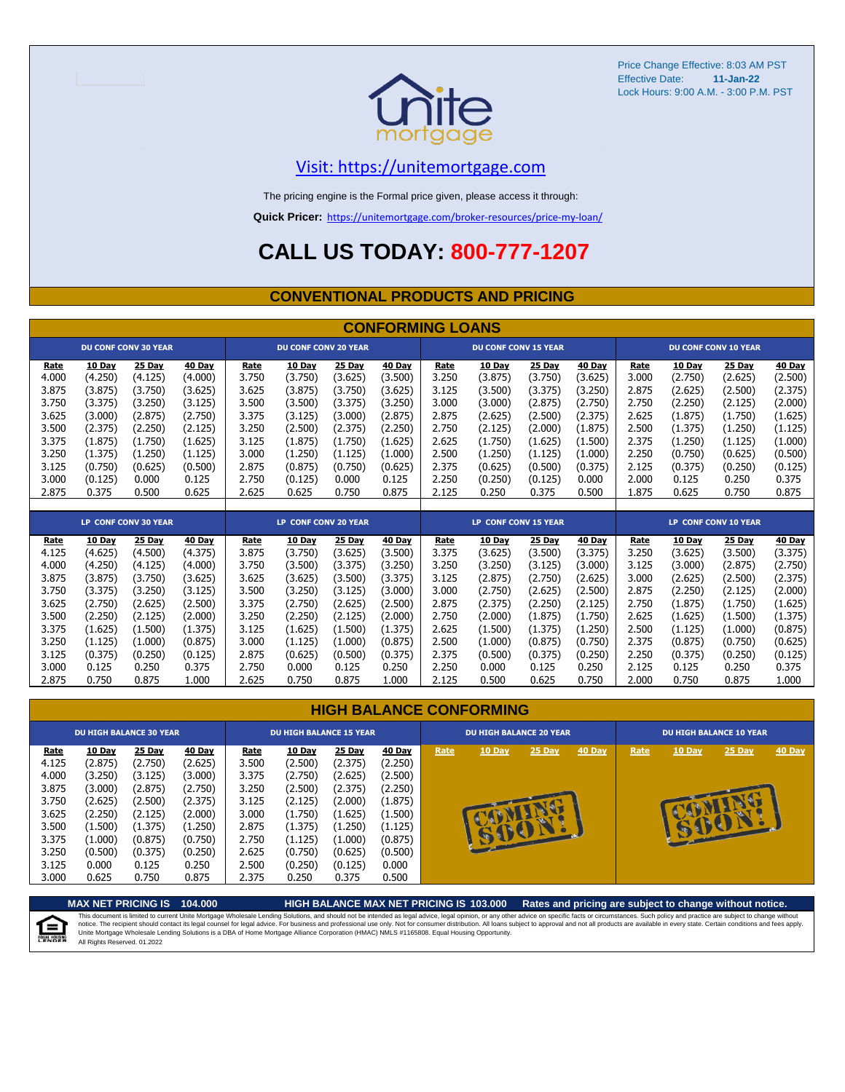

### [V](https://unitemortgage.com/)isit: https://unitemortgage.com

The pricing engine is the Formal price given, please access it through:

**Quick Pricer:** [https://un](https://unitemortgage.com/broker-resources/price-my-loan/)itemortgage.com/broker-resources/price-my-loan/

## **CALL US TODAY: 800-777-1207**

### **CONVENTIONAL PRODUCTS AND PRICING**

|             |         |                             |         |       |                             |         | <b>CONFORMING LOANS</b> |             |                             |               |               |       |               |                             |               |
|-------------|---------|-----------------------------|---------|-------|-----------------------------|---------|-------------------------|-------------|-----------------------------|---------------|---------------|-------|---------------|-----------------------------|---------------|
|             |         | <b>DU CONF CONV 30 YEAR</b> |         |       | <b>DU CONF CONV 20 YEAR</b> |         |                         |             | <b>DU CONF CONV 15 YEAR</b> |               |               |       |               | <b>DU CONF CONV 10 YEAR</b> |               |
| Rate        | 10 Day  | 25 Day                      | 40 Day  | Rate  | 10 Day                      | 25 Day  | 40 Day                  | Rate        | 10 Day                      | 25 Day        | 40 Day        | Rate  | 10 Day        | 25 Day                      | 40 Day        |
| 4.000       | (4.250) | (4.125)                     | (4.000) | 3.750 | (3.750)                     | (3.625) | (3.500)                 | 3.250       | (3.875)                     | (3.750)       | (3.625)       | 3.000 | (2.750)       | (2.625)                     | (2.500)       |
| 3.875       | (3.875) | (3.750)                     | (3.625) | 3.625 | (3.875)                     | (3.750) | (3.625)                 | 3.125       | (3.500)                     | (3.375)       | (3.250)       | 2.875 | (2.625)       | (2.500)                     | (2.375)       |
| 3.750       | (3.375) | (3.250)                     | (3.125) | 3.500 | (3.500)                     | (3.375) | (3.250)                 | 3.000       | (3.000)                     | (2.875)       | (2.750)       | 2.750 | (2.250)       | (2.125)                     | (2.000)       |
| 3.625       | (3.000) | (2.875)                     | (2.750) | 3.375 | (3.125)                     | (3.000) | (2.875)                 | 2.875       | (2.625)                     | (2.500)       | (2.375)       | 2.625 | (1.875)       | (1.750)                     | (1.625)       |
| 3.500       | (2.375) | (2.250)                     | (2.125) | 3.250 | (2.500)                     | (2.375) | (2.250)                 | 2.750       | (2.125)                     | (2.000)       | (1.875)       | 2.500 | (1.375)       | (1.250)                     | (1.125)       |
| 3.375       | (1.875) | (1.750)                     | (1.625) | 3.125 | (1.875)                     | (1.750) | (1.625)                 | 2.625       | (1.750)                     | (1.625)       | (1.500)       | 2.375 | (1.250)       | (1.125)                     | (1.000)       |
| 3.250       | (1.375) | (1.250)                     | (1.125) | 3.000 | (1.250)                     | (1.125) | (1.000)                 | 2.500       | (1.250)                     | (1.125)       | (1.000)       | 2.250 | (0.750)       | (0.625)                     | (0.500)       |
| 3.125       | (0.750) | (0.625)                     | (0.500) | 2.875 | (0.875)                     | (0.750) | (0.625)                 | 2.375       | (0.625)                     | (0.500)       | (0.375)       | 2.125 | (0.375)       | (0.250)                     | (0.125)       |
| 3.000       | (0.125) | 0.000                       | 0.125   | 2.750 | (0.125)                     | 0.000   | 0.125                   | 2.250       | (0.250)                     | (0.125)       | 0.000         | 2.000 | 0.125         | 0.250                       | 0.375         |
| 2.875       | 0.375   | 0.500                       | 0.625   | 2.625 | 0.625                       | 0.750   | 0.875                   | 2.125       | 0.250                       | 0.375         | 0.500         | 1.875 | 0.625         | 0.750                       | 0.875         |
|             |         |                             |         |       |                             |         |                         |             |                             |               |               |       |               |                             |               |
|             |         | <b>LP CONF CONV 30 YEAR</b> |         |       | <b>LP CONF CONV 20 YEAR</b> |         |                         |             | <b>LP CONF CONV 15 YEAR</b> |               |               |       |               | <b>LP CONF CONV 10 YEAR</b> |               |
| <u>Rate</u> | 10 Day  | <b>25 Day</b>               | 40 Day  | Rate  | <b>10 Day</b>               | 25 Day  | <b>40 Day</b>           | <b>Rate</b> | 10 Day                      | <b>25 Day</b> | <b>40 Day</b> | Rate  | <b>10 Day</b> | 25 Day                      | <b>40 Day</b> |
| 4.125       | (4.625) | (4.500)                     | (4.375) | 3.875 | (3.750)                     | (3.625) | (3.500)                 | 3.375       | (3.625)                     | (3.500)       | (3.375)       | 3.250 | (3.625)       | (3.500)                     | (3.375)       |
| 4.000       | (4.250) | (4.125)                     | (4.000) | 3.750 | (3.500)                     | (3.375) | (3.250)                 | 3.250       | (3.250)                     | (3.125)       | (3.000)       | 3.125 | (3.000)       | (2.875)                     | (2.750)       |
| 3.875       | (3.875) | (3.750)                     | (3.625) | 3.625 | (3.625)                     | (3.500) | (3.375)                 | 3.125       | (2.875)                     | (2.750)       | (2.625)       | 3.000 | (2.625)       | (2.500)                     | (2.375)       |
| 3.750       | (3.375) | (3.250)                     | (3.125) | 3.500 | (3.250)                     | (3.125) | (3.000)                 | 3.000       | (2.750)                     | (2.625)       | (2.500)       | 2.875 | (2.250)       | (2.125)                     | (2.000)       |
| 3.625       | (2.750) | (2.625)                     | (2.500) | 3.375 | (2.750)                     | (2.625) | (2.500)                 | 2.875       | (2.375)                     | (2.250)       | (2.125)       | 2.750 | (1.875)       | (1.750)                     | (1.625)       |
| 3.500       | (2.250) | (2.125)                     | (2.000) | 3.250 | (2.250)                     | (2.125) | (2.000)                 | 2.750       | (2.000)                     | (1.875)       | (1.750)       | 2.625 | (1.625)       | (1.500)                     | (1.375)       |
| 3.375       | (1.625) | (1.500)                     | (1.375) | 3.125 | (1.625)                     | (1.500) | (1.375)                 | 2.625       | (1.500)                     | (1.375)       | (1.250)       | 2.500 | (1.125)       | (1.000)                     | (0.875)       |
| 3.250       | (1.125) | (1.000)                     | (0.875) | 3.000 | (1.125)                     | (1.000) | (0.875)                 | 2.500       | (1.000)                     | (0.875)       | (0.750)       | 2.375 | (0.875)       | (0.750)                     | (0.625)       |
| 3.125       | (0.375) | (0.250)                     | (0.125) | 2.875 | (0.625)                     | (0.500) | (0.375)                 | 2.375       | (0.500)                     | (0.375)       | (0.250)       | 2.250 | (0.375)       | (0.250)                     | (0.125)       |

#### **HIGH BALANCE CONFORMING**

3.000 0.125 0.250 0.375 2.750 0.000 0.125 0.250 2.250 0.000 0.125 0.250 2.125 0.125 0.250 0.375 2.875 0.750 0.875 1.000 2.625 0.750 0.875 1.000 2.125 0.500 0.625 0.750 2.000 0.750 0.875 1.000

|             |         | <b>DU HIGH BALANCE 30 YEAR</b> |         | <b>DU HIGH BALANCE 15 YEAR</b> |               |         |         |      | <b>DU HIGH BALANCE 20 YEAR</b> |        |        | <b>DU HIGH BALANCE 10 YEAR</b> |               |          |               |  |
|-------------|---------|--------------------------------|---------|--------------------------------|---------------|---------|---------|------|--------------------------------|--------|--------|--------------------------------|---------------|----------|---------------|--|
| <u>Rate</u> | 10 Day  | 25 Day                         | 40 Day  | Rate                           | <b>10 Day</b> | 25 Day  | 40 Day  | Rate | 10 Day                         | 25 Day | 40 Day | Rate                           | <b>10 Day</b> | $25$ Day | <b>40 Day</b> |  |
| 4.125       | (2.875) | (2.750)                        | (2.625) | 3.500                          | (2.500)       | (2.375) | (2.250) |      |                                |        |        |                                |               |          |               |  |
| 4.000       | (3.250) | (3.125)                        | (3.000) | 3.375                          | (2.750)       | (2.625) | (2.500) |      |                                |        |        |                                |               |          |               |  |
| 3.875       | (3.000) | (2.875)                        | (2.750) | 3.250                          | (2.500)       | (2.375) | (2.250) |      |                                |        |        |                                |               |          |               |  |
| 3.750       | (2.625) | (2.500)                        | (2.375) | 3.125                          | (2.125)       | (2.000) | (1.875) |      |                                |        |        |                                |               |          |               |  |
| 3.625       | (2.250) | (2.125)                        | (2.000) | 3.000                          | (1.750)       | (1.625) | (1.500) |      |                                |        |        |                                |               |          |               |  |
| 3.500       | (1.500) | (1.375)                        | (1.250) | 2.875                          | (1.375)       | (1.250) | (1.125) |      |                                | æ      |        |                                |               |          |               |  |
| 3.375       | (1.000) | (0.875)                        | (0.750) | 2.750                          | (1.125)       | (1.000) | (0.875) |      |                                |        |        |                                |               |          |               |  |
| 3.250       | (0.500) | (0.375)                        | (0.250) | 2.625                          | (0.750)       | (0.625) | (0.500) |      |                                |        |        |                                |               |          |               |  |
| 3.125       | 0.000   | 0.125                          | 0.250   | 2.500                          | (0.250)       | (0.125) | 0.000   |      |                                |        |        |                                |               |          |               |  |
| 3.000       | 0.625   | 0.750                          | 0.875   | 2.375                          | 0.250         | 0.375   | 0.500   |      |                                |        |        |                                |               |          |               |  |

**MAX NET PRICING IS 104.000 HIGH BALANCE MAX NET PRICING IS 103.000 Rates and pricing are subject to change without notice.** This document is limited to current Unite Mortgage Wholesale Lending Solutions, and should not be intended as legal advice, legal opinion, or any other advice on specific facts or circumstances. Such policy and practice ar E) All Rights Reserved. 01.2022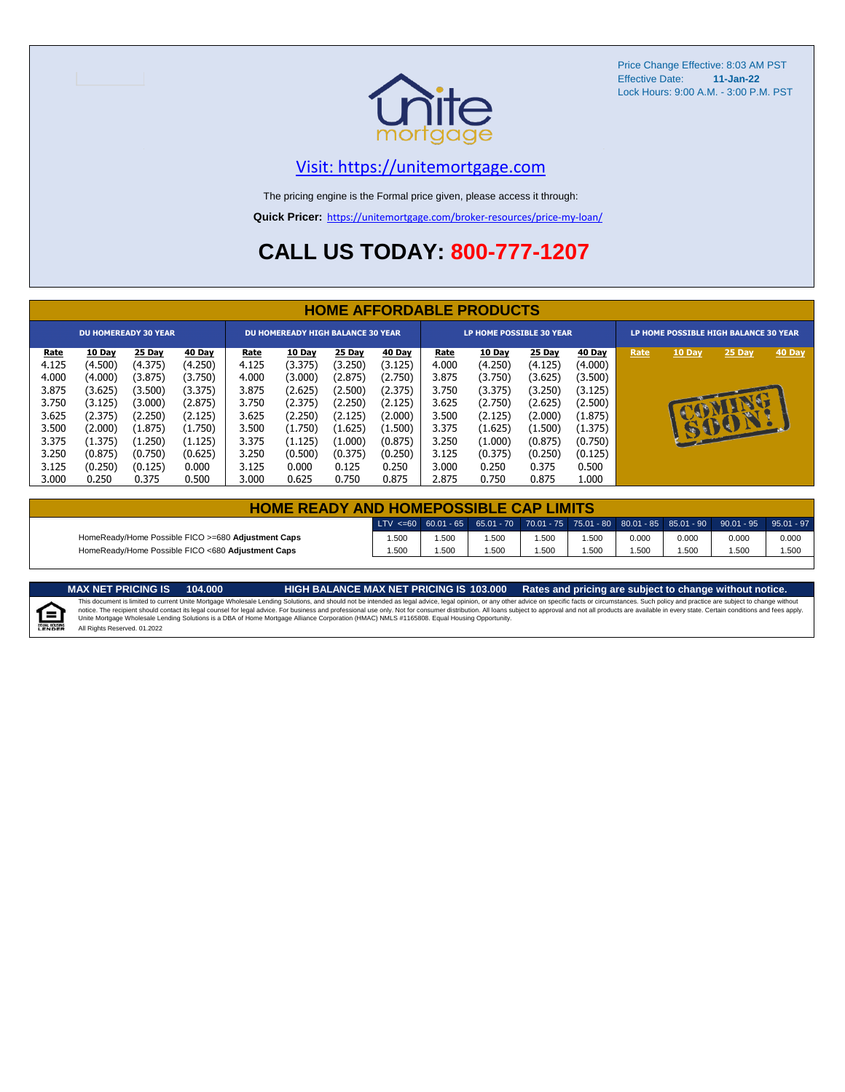

### [V](https://unitemortgage.com/)isit: https://unitemortgage.com

The pricing engine is the Formal price given, please access it through:

**Quick Pricer:** [https://un](https://unitemortgage.com/broker-resources/price-my-loan/)itemortgage.com/broker-resources/price-my-loan/

## **CALL US TODAY: 800-777-1207**

| <b>HOME AFFORDABLE PRODUCTS</b> |         |                             |         |             |                                          |         |         |       |                                 |         |         |      |              |                                       |        |
|---------------------------------|---------|-----------------------------|---------|-------------|------------------------------------------|---------|---------|-------|---------------------------------|---------|---------|------|--------------|---------------------------------------|--------|
|                                 |         | <b>DU HOMEREADY 30 YEAR</b> |         |             | <b>DU HOMEREADY HIGH BALANCE 30 YEAR</b> |         |         |       | <b>LP HOME POSSIBLE 30 YEAR</b> |         |         |      |              | LP HOME POSSIBLE HIGH BALANCE 30 YEAR |        |
| <u>Rate</u>                     | 10 Day  | 25 Day                      | 40 Day  | <u>Rate</u> | <b>10 Day</b>                            | 25 Day  | 40 Day  | Rate  | 10 Day                          | 25 Day  | 40 Day  | Rate | 10 Day       | 25 Day                                | 40 Day |
| 4.125                           | (4.500) | (4.375)                     | (4.250) | 4.125       | (3.375)                                  | (3.250) | (3.125) | 4.000 | (4.250)                         | (4.125) | (4.000) |      |              |                                       |        |
| 4.000                           | (4.000) | (3.875)                     | (3.750) | 4.000       | (3.000)                                  | (2.875) | (2.750) | 3.875 | (3.750)                         | (3.625) | (3.500) |      |              |                                       |        |
| 3.875                           | (3.625) | (3.500)                     | (3.375) | 3.875       | (2.625)                                  | (2.500) | (2.375) | 3.750 | (3.375)                         | (3.250) | (3.125) |      |              |                                       |        |
| 3.750                           | (3.125) | (3.000)                     | (2.875) | 3.750       | (2.375)                                  | (2.250) | (2.125) | 3.625 | (2.750)                         | (2.625) | (2.500) |      |              | D                                     |        |
| 3.625                           | (2.375) | (2.250)                     | (2.125) | 3.625       | (2.250)                                  | (2.125) | (2.000) | 3.500 | (2.125)                         | (2.000) | (1.875) |      |              |                                       |        |
| 3.500                           | (2.000) | (1.875)                     | (1.750) | 3.500       | (1.750)                                  | (1.625) | (1.500) | 3.375 | (1.625)                         | (1.500) | (1.375) |      | <b>REGIS</b> | BO                                    |        |
| 3.375                           | (1.375) | (1.250)                     | (1.125) | 3.375       | (1.125)                                  | (1.000) | (0.875) | 3.250 | (1.000)                         | (0.875) | (0.750) |      |              |                                       |        |
| 3.250                           | (0.875) | (0.750)                     | (0.625) | 3.250       | (0.500)                                  | (0.375) | (0.250) | 3.125 | (0.375)                         | (0.250) | (0.125) |      |              |                                       |        |
| 3.125                           | (0.250) | (0.125)                     | 0.000   | 3.125       | 0.000                                    | 0.125   | 0.250   | 3.000 | 0.250                           | 0.375   | 0.500   |      |              |                                       |        |
| 3.000                           | 0.250   | 0.375                       | 0.500   | 3.000       | 0.625                                    | 0.750   | 0.875   | 2.875 | 0.750                           | 0.875   | L.000   |      |              |                                       |        |

| <b>HOME READY AND HOMEPOSSIBLE CAP LIMITS</b>      |      |      |      |       |       |       |       |                                                                                                  |       |  |  |  |  |
|----------------------------------------------------|------|------|------|-------|-------|-------|-------|--------------------------------------------------------------------------------------------------|-------|--|--|--|--|
|                                                    |      |      |      |       |       |       |       | LTV <=60 60.01 - 65 65.01 - 70 70.01 - 75 75.01 - 80 80.01 - 85 85.01 - 90 90.01 - 95 95.01 - 97 |       |  |  |  |  |
| HomeReady/Home Possible FICO >=680 Adjustment Caps | .500 | .500 | .500 | 1.500 | 1.500 | 0.000 | 0.000 | 0.000                                                                                            | 0.000 |  |  |  |  |
| HomeReady/Home Possible FICO <680 Adjustment Caps  | .500 | .500 | .500 | 1.500 | .500  | .500  | .500  | .500                                                                                             | 1.500 |  |  |  |  |



MAX NET PRICING IS 103.000 Rates and pricing are subject to change without notice.<br>This document is limited to current Unite Mortgage Wholesale Lending Solutions, and should not be intended as legal advice, legal opinion, All Rights Reserved. 01.2022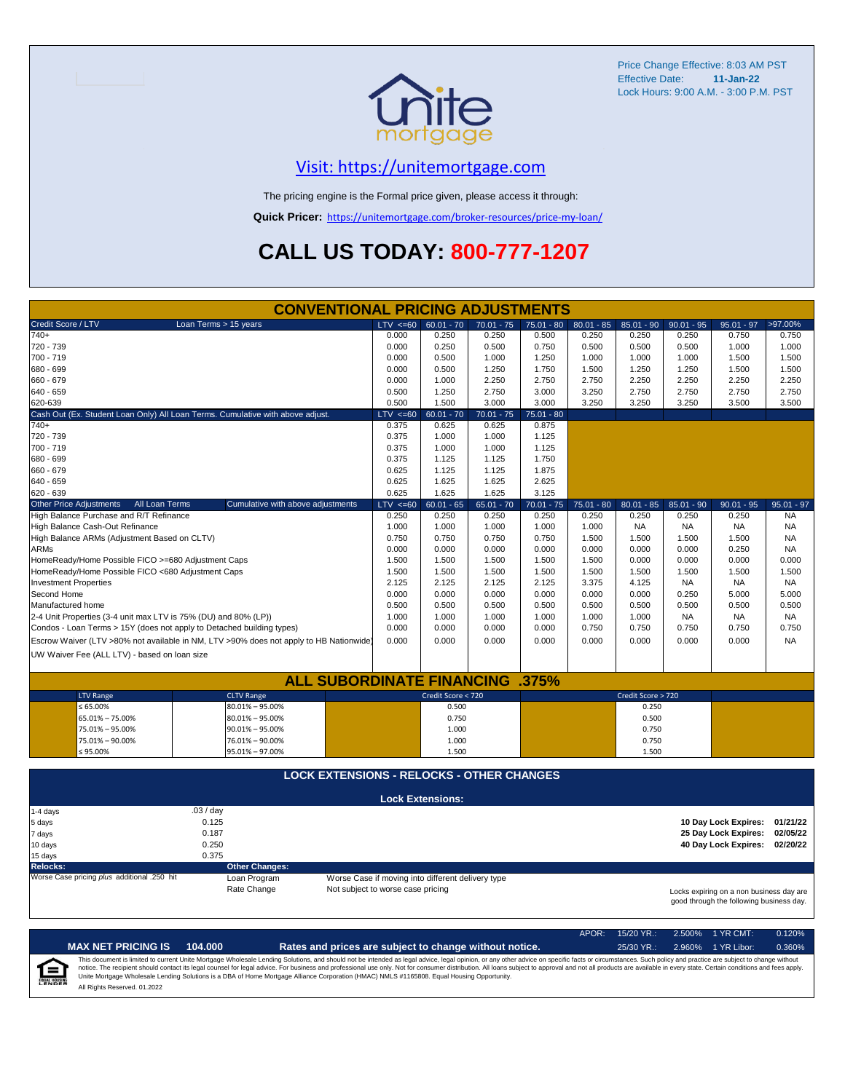

## [V](https://unitemortgage.com/)isit: https://unitemortgage.com

The pricing engine is the Formal price given, please access it through:

**Quick Pricer:** [https://un](https://unitemortgage.com/broker-resources/price-my-loan/)itemortgage.com/broker-resources/price-my-loan/

## **CALL US TODAY: 800-777-1207**

| <b>CONVENTIONAL PRICING ADJUSTMENTS</b>                               |                                                                                        |                                                   |                         |              |              |              |                    |              |                                                                                      |              |  |
|-----------------------------------------------------------------------|----------------------------------------------------------------------------------------|---------------------------------------------------|-------------------------|--------------|--------------|--------------|--------------------|--------------|--------------------------------------------------------------------------------------|--------------|--|
| Credit Score / LTV                                                    | Loan Terms > 15 years                                                                  | $LTV \le 60$                                      | $60.01 - 70$            | $70.01 - 75$ | $75.01 - 80$ | $80.01 - 85$ | $85.01 - 90$       | $90.01 - 95$ | $95.01 - 97$                                                                         | >97.00%      |  |
| $740+$                                                                |                                                                                        | 0.000                                             | 0.250                   | 0.250        | 0.500        | 0.250        | 0.250              | 0.250        | 0.750                                                                                | 0.750        |  |
| 720 - 739                                                             |                                                                                        | 0.000                                             | 0.250                   | 0.500        | 0.750        | 0.500        | 0.500              | 0.500        | 1.000                                                                                | 1.000        |  |
| 700 - 719                                                             |                                                                                        | 0.000                                             | 0.500                   | 1.000        | 1.250        | 1.000        | 1.000              | 1.000        | 1.500                                                                                | 1.500        |  |
| 680 - 699                                                             |                                                                                        | 0.000                                             | 0.500                   | 1.250        | 1.750        | 1.500        | 1.250              | 1.250        | 1.500                                                                                | 1.500        |  |
| 660 - 679                                                             |                                                                                        | 0.000                                             | 1.000                   | 2.250        | 2.750        | 2.750        | 2.250              | 2.250        | 2.250                                                                                | 2.250        |  |
| 640 - 659                                                             |                                                                                        | 0.500                                             | 1.250                   | 2.750        | 3.000        | 3.250        | 2.750              | 2.750        | 2.750                                                                                | 2.750        |  |
| 620-639                                                               |                                                                                        | 0.500                                             | 1.500                   | 3.000        | 3.000        | 3.250        | 3.250              | 3.250        | 3.500                                                                                | 3.500        |  |
|                                                                       | Cash Out (Ex. Student Loan Only) All Loan Terms. Cumulative with above adjust.         | $LTV \le 60$                                      | $60.01 - 70$            | $70.01 - 75$ | $75.01 - 80$ |              |                    |              |                                                                                      |              |  |
| $740+$                                                                |                                                                                        | 0.375                                             | 0.625                   | 0.625        | 0.875        |              |                    |              |                                                                                      |              |  |
| 720 - 739                                                             |                                                                                        | 0.375                                             | 1.000                   | 1.000        | 1.125        |              |                    |              |                                                                                      |              |  |
| 700 - 719                                                             |                                                                                        | 0.375                                             | 1.000                   | 1.000        | 1.125        |              |                    |              |                                                                                      |              |  |
| 680 - 699                                                             |                                                                                        | 0.375                                             | 1.125                   | 1.125        | 1.750        |              |                    |              |                                                                                      |              |  |
| 660 - 679                                                             |                                                                                        | 0.625                                             | 1.125                   | 1.125        | 1.875        |              |                    |              |                                                                                      |              |  |
| 640 - 659                                                             |                                                                                        | 0.625                                             | 1.625                   | 1.625        | 2.625        |              |                    |              |                                                                                      |              |  |
| 620 - 639                                                             |                                                                                        | 0.625                                             | 1.625                   | 1.625        | 3.125        |              |                    |              |                                                                                      |              |  |
| <b>Other Price Adjustments</b><br>All Loan Terms                      | Cumulative with above adjustments                                                      | $LTV \le 60$                                      | $60.01 - 65$            | $65.01 - 70$ | $70.01 - 75$ | $75.01 - 80$ | $80.01 - 85$       | $85.01 - 90$ | $90.01 - 95$                                                                         | $95.01 - 97$ |  |
| High Balance Purchase and R/T Refinance                               |                                                                                        | 0.250                                             | 0.250                   | 0.250        | 0.250        | 0.250        | 0.250              | 0.250        | 0.250                                                                                | <b>NA</b>    |  |
| High Balance Cash-Out Refinance                                       |                                                                                        | 1.000                                             | 1.000                   | 1.000        | 1.000        | 1.000        | <b>NA</b>          | <b>NA</b>    | <b>NA</b>                                                                            | <b>NA</b>    |  |
| High Balance ARMs (Adjustment Based on CLTV)                          |                                                                                        | 0.750                                             | 0.750                   | 0.750        | 0.750        | 1.500        | 1.500              | 1.500        | 1.500                                                                                | <b>NA</b>    |  |
| <b>ARMs</b>                                                           |                                                                                        | 0.000                                             | 0.000                   | 0.000        | 0.000        | 0.000        | 0.000              | 0.000        | 0.250                                                                                | <b>NA</b>    |  |
| HomeReady/Home Possible FICO >=680 Adjustment Caps                    |                                                                                        | 1.500                                             | 1.500                   | 1.500        | 1.500        | 1.500        | 0.000              | 0.000        | 0.000                                                                                | 0.000        |  |
| HomeReady/Home Possible FICO <680 Adjustment Caps                     |                                                                                        | 1.500                                             | 1.500                   | 1.500        | 1.500        | 1.500        | 1.500              | 1.500        | 1.500                                                                                | 1.500        |  |
| <b>Investment Properties</b>                                          |                                                                                        | 2.125                                             | 2.125                   | 2.125        | 2.125        | 3.375        | 4.125              | <b>NA</b>    | <b>NA</b>                                                                            | NA.          |  |
| Second Home                                                           |                                                                                        | 0.000                                             | 0.000                   | 0.000        | 0.000        | 0.000        | 0.000              | 0.250        | 5.000                                                                                | 5.000        |  |
| Manufactured home                                                     |                                                                                        | 0.500                                             | 0.500                   | 0.500        | 0.500        | 0.500        | 0.500              | 0.500        | 0.500                                                                                | 0.500        |  |
| 2-4 Unit Properties (3-4 unit max LTV is 75% (DU) and 80% (LP))       |                                                                                        | 1.000                                             | 1.000                   | 1.000        | 1.000        | 1.000        | 1.000              | <b>NA</b>    | <b>NA</b>                                                                            | NA.          |  |
| Condos - Loan Terms > 15Y (does not apply to Detached building types) |                                                                                        | 0.000                                             | 0.000                   | 0.000        | 0.000        | 0.750        | 0.750              | 0.750        | 0.750                                                                                | 0.750        |  |
|                                                                       | Escrow Waiver (LTV >80% not available in NM, LTV >90% does not apply to HB Nationwide) | 0.000                                             | 0.000                   | 0.000        | 0.000        | 0.000        | 0.000              | 0.000        | 0.000                                                                                | <b>NA</b>    |  |
| UW Waiver Fee (ALL LTV) - based on loan size                          |                                                                                        |                                                   |                         |              |              |              |                    |              |                                                                                      |              |  |
|                                                                       |                                                                                        |                                                   |                         |              |              |              |                    |              |                                                                                      |              |  |
|                                                                       | <b>ALL SUBORDINATE FINANCING</b>                                                       |                                                   |                         |              | $.375\%$     |              |                    |              |                                                                                      |              |  |
| <b>LTV Range</b>                                                      | <b>CLTV Range</b>                                                                      |                                                   | Credit Score < 720      |              |              |              | Credit Score > 720 |              |                                                                                      |              |  |
| ≤ 65.00%                                                              | $80.01\% - 95.00\%$                                                                    |                                                   | 0.500                   |              |              |              | 0.250              |              |                                                                                      |              |  |
| 65.01% - 75.00%                                                       | $80.01\% - 95.00\%$                                                                    |                                                   | 0.750                   |              |              |              | 0.500              |              |                                                                                      |              |  |
| 75.01% - 95.00%                                                       | $90.01\% - 95.00\%$                                                                    |                                                   | 1.000                   |              |              |              | 0.750              |              |                                                                                      |              |  |
| 75.01% - 90.00%                                                       | 76.01% - 90.00%                                                                        |                                                   | 1.000                   |              |              |              | 0.750              |              |                                                                                      |              |  |
| $$95.00\%$                                                            | 95.01% - 97.00%                                                                        |                                                   | 1.500                   |              |              |              | 1.500              |              |                                                                                      |              |  |
|                                                                       |                                                                                        |                                                   |                         |              |              |              |                    |              |                                                                                      |              |  |
|                                                                       | <b>LOCK EXTENSIONS - RELOCKS - OTHER CHANGES</b>                                       |                                                   |                         |              |              |              |                    |              |                                                                                      |              |  |
|                                                                       |                                                                                        |                                                   | <b>Lock Extensions:</b> |              |              |              |                    |              |                                                                                      |              |  |
| 1-4 days                                                              | .03/day                                                                                |                                                   |                         |              |              |              |                    |              |                                                                                      |              |  |
| 5 days                                                                | 0.125                                                                                  |                                                   |                         |              |              |              |                    |              | 10 Day Lock Expires:                                                                 | 01/21/22     |  |
| 7 days                                                                | 0.187                                                                                  |                                                   |                         |              |              |              |                    |              | 25 Day Lock Expires:                                                                 | 02/05/22     |  |
| 10 days                                                               | 0.250                                                                                  |                                                   |                         |              |              |              |                    |              | 40 Day Lock Expires:                                                                 | 02/20/22     |  |
| 15 days                                                               | 0.375                                                                                  |                                                   |                         |              |              |              |                    |              |                                                                                      |              |  |
| <b>Relocks:</b>                                                       | <b>Other Changes:</b>                                                                  |                                                   |                         |              |              |              |                    |              |                                                                                      |              |  |
| Worse Case pricing plus additional .250 hit                           | Loan Program                                                                           | Worse Case if moving into different delivery type |                         |              |              |              |                    |              |                                                                                      |              |  |
|                                                                       | Rate Change                                                                            | Not subject to worse case pricing                 |                         |              |              |              |                    |              | Locks expiring on a non business day are<br>good through the following business day. |              |  |

|                            |                              |         |                                                                                                                                                                                                                                                                                                                                                                                                                                                                                                                                                                                                                | APOR: | $15/20$ YR.: | $2.500\%$ 1 YR CMT: | 0.120% |
|----------------------------|------------------------------|---------|----------------------------------------------------------------------------------------------------------------------------------------------------------------------------------------------------------------------------------------------------------------------------------------------------------------------------------------------------------------------------------------------------------------------------------------------------------------------------------------------------------------------------------------------------------------------------------------------------------------|-------|--------------|---------------------|--------|
|                            | <b>MAX NET PRICING IS</b>    | 104.000 | Rates and prices are subject to change without notice.                                                                                                                                                                                                                                                                                                                                                                                                                                                                                                                                                         |       | $25/30$ YR.: | 2.960% 1 YR Libor:  | 0.360% |
| ſ≘<br><b>EQUAL HOUSING</b> | All Rights Reserved, 01.2022 |         | This document is limited to current Unite Mortgage Wholesale Lending Solutions, and should not be intended as legal advice, legal opinion, or any other advice on specific facts or circumstances. Such policy and practice ar<br>notice. The recipient should contact its legal counsel for legal advice. For business and professional use only. Not for consumer distribution. All loans subject to approval and not all products are available in every stat<br>Unite Mortgage Wholesale Lending Solutions is a DBA of Home Mortgage Alliance Corporation (HMAC) NMLS #1165808. Equal Housing Opportunity. |       |              |                     |        |